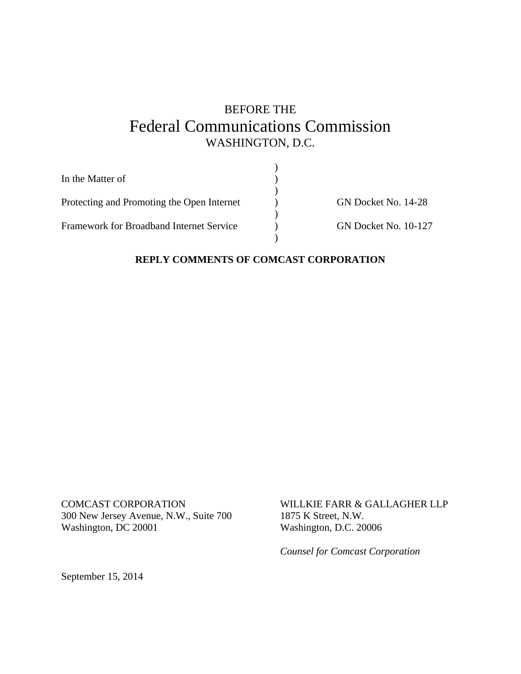# BEFORE THE Federal Communications Commission WASHINGTON, D.C.

| In the Matter of                           |                             |
|--------------------------------------------|-----------------------------|
|                                            |                             |
| Protecting and Promoting the Open Internet | GN Docket No. 14-28         |
|                                            |                             |
| Framework for Broadband Internet Service   | <b>GN Docket No. 10-127</b> |
|                                            |                             |

### **REPLY COMMENTS OF COMCAST CORPORATION**

COMCAST CORPORATION 300 New Jersey Avenue, N.W., Suite 700 Washington, DC 20001

WILLKIE FARR & GALLAGHER LLP 1875 K Street, N.W. Washington, D.C. 20006

*Counsel for Comcast Corporation*

September 15, 2014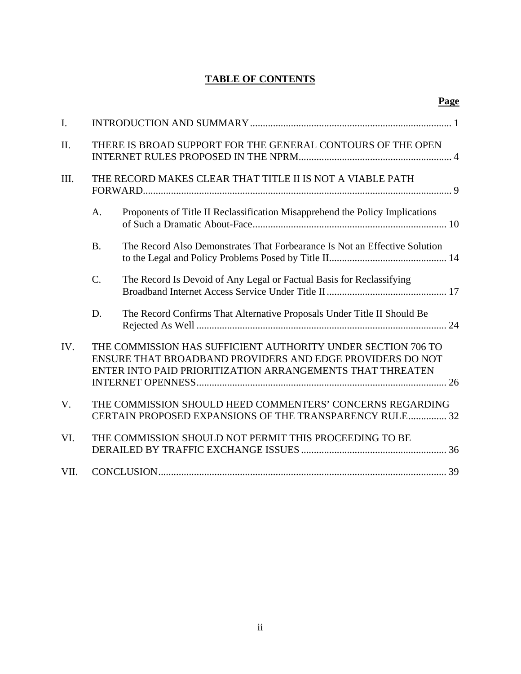## **TABLE OF CONTENTS**

| I.          |                |                                                                                                                                                                                        |  |
|-------------|----------------|----------------------------------------------------------------------------------------------------------------------------------------------------------------------------------------|--|
| II.         |                | THERE IS BROAD SUPPORT FOR THE GENERAL CONTOURS OF THE OPEN                                                                                                                            |  |
| III.        |                | THE RECORD MAKES CLEAR THAT TITLE II IS NOT A VIABLE PATH                                                                                                                              |  |
|             | A.             | Proponents of Title II Reclassification Misapprehend the Policy Implications                                                                                                           |  |
|             | B <sub>1</sub> | The Record Also Demonstrates That Forbearance Is Not an Effective Solution                                                                                                             |  |
|             | $C$ .          | The Record Is Devoid of Any Legal or Factual Basis for Reclassifying                                                                                                                   |  |
|             | D.             | The Record Confirms That Alternative Proposals Under Title II Should Be                                                                                                                |  |
| IV.         |                | THE COMMISSION HAS SUFFICIENT AUTHORITY UNDER SECTION 706 TO<br>ENSURE THAT BROADBAND PROVIDERS AND EDGE PROVIDERS DO NOT<br>ENTER INTO PAID PRIORITIZATION ARRANGEMENTS THAT THREATEN |  |
| $V_{\cdot}$ |                | THE COMMISSION SHOULD HEED COMMENTERS' CONCERNS REGARDING<br>CERTAIN PROPOSED EXPANSIONS OF THE TRANSPARENCY RULE 32                                                                   |  |
| VI.         |                | THE COMMISSION SHOULD NOT PERMIT THIS PROCEEDING TO BE                                                                                                                                 |  |
| VII.        |                |                                                                                                                                                                                        |  |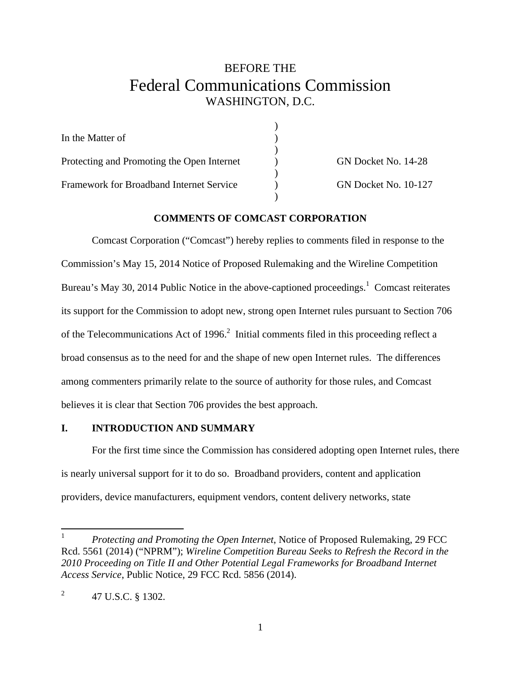# BEFORE THE Federal Communications Commission WASHINGTON, D.C.

| In the Matter of                           |                             |
|--------------------------------------------|-----------------------------|
|                                            |                             |
| Protecting and Promoting the Open Internet | GN Docket No. 14-28         |
|                                            |                             |
| Framework for Broadband Internet Service   | <b>GN Docket No. 10-127</b> |
|                                            |                             |

#### **COMMENTS OF COMCAST CORPORATION**

Comcast Corporation ("Comcast") hereby replies to comments filed in response to the Commission's May 15, 2014 Notice of Proposed Rulemaking and the Wireline Competition Bureau's May 30, 2014 Public Notice in the above-captioned proceedings.<sup>1</sup> Comcast reiterates its support for the Commission to adopt new, strong open Internet rules pursuant to Section 706 of the Telecommunications Act of 1996. $^2$  Initial comments filed in this proceeding reflect a broad consensus as to the need for and the shape of new open Internet rules. The differences among commenters primarily relate to the source of authority for those rules, and Comcast believes it is clear that Section 706 provides the best approach.

### **I. INTRODUCTION AND SUMMARY**

 For the first time since the Commission has considered adopting open Internet rules, there is nearly universal support for it to do so. Broadband providers, content and application providers, device manufacturers, equipment vendors, content delivery networks, state

 $\frac{1}{1}$  *Protecting and Promoting the Open Internet*, Notice of Proposed Rulemaking, 29 FCC Rcd. 5561 (2014) ("NPRM"); *Wireline Competition Bureau Seeks to Refresh the Record in the 2010 Proceeding on Title II and Other Potential Legal Frameworks for Broadband Internet Access Service*, Public Notice, 29 FCC Rcd. 5856 (2014).

 $\mathfrak{D}$ 47 U.S.C. § 1302.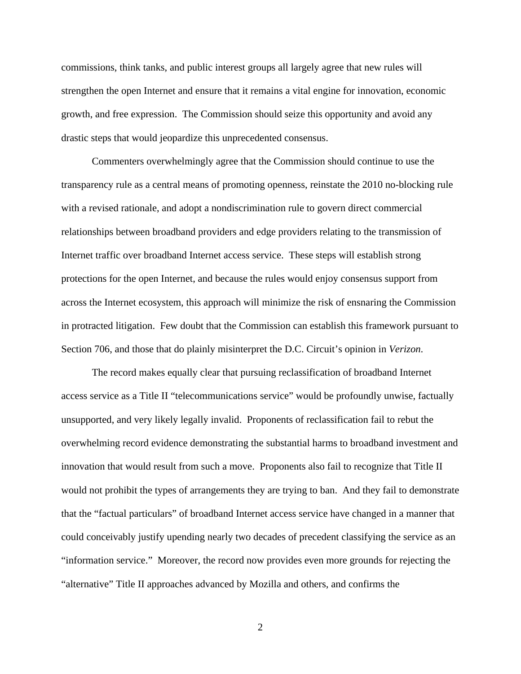commissions, think tanks, and public interest groups all largely agree that new rules will strengthen the open Internet and ensure that it remains a vital engine for innovation, economic growth, and free expression. The Commission should seize this opportunity and avoid any drastic steps that would jeopardize this unprecedented consensus.

 Commenters overwhelmingly agree that the Commission should continue to use the transparency rule as a central means of promoting openness, reinstate the 2010 no-blocking rule with a revised rationale, and adopt a nondiscrimination rule to govern direct commercial relationships between broadband providers and edge providers relating to the transmission of Internet traffic over broadband Internet access service. These steps will establish strong protections for the open Internet, and because the rules would enjoy consensus support from across the Internet ecosystem, this approach will minimize the risk of ensnaring the Commission in protracted litigation. Few doubt that the Commission can establish this framework pursuant to Section 706, and those that do plainly misinterpret the D.C. Circuit's opinion in *Verizon*.

The record makes equally clear that pursuing reclassification of broadband Internet access service as a Title II "telecommunications service" would be profoundly unwise, factually unsupported, and very likely legally invalid. Proponents of reclassification fail to rebut the overwhelming record evidence demonstrating the substantial harms to broadband investment and innovation that would result from such a move. Proponents also fail to recognize that Title II would not prohibit the types of arrangements they are trying to ban. And they fail to demonstrate that the "factual particulars" of broadband Internet access service have changed in a manner that could conceivably justify upending nearly two decades of precedent classifying the service as an "information service." Moreover, the record now provides even more grounds for rejecting the "alternative" Title II approaches advanced by Mozilla and others, and confirms the

2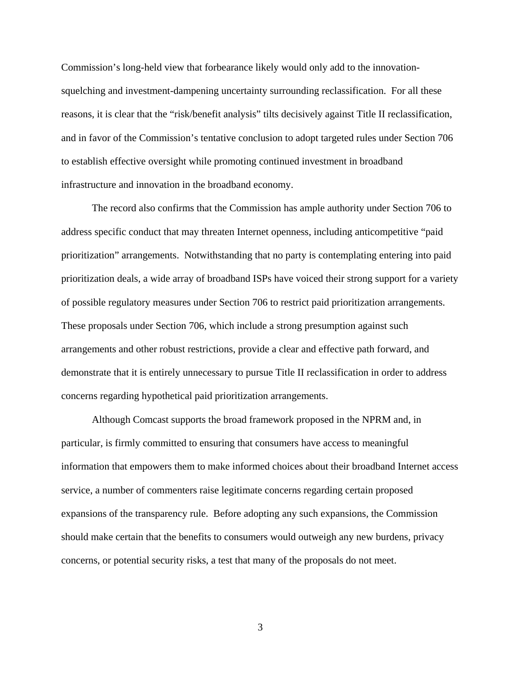Commission's long-held view that forbearance likely would only add to the innovationsquelching and investment-dampening uncertainty surrounding reclassification. For all these reasons, it is clear that the "risk/benefit analysis" tilts decisively against Title II reclassification, and in favor of the Commission's tentative conclusion to adopt targeted rules under Section 706 to establish effective oversight while promoting continued investment in broadband infrastructure and innovation in the broadband economy.

 The record also confirms that the Commission has ample authority under Section 706 to address specific conduct that may threaten Internet openness, including anticompetitive "paid prioritization" arrangements. Notwithstanding that no party is contemplating entering into paid prioritization deals, a wide array of broadband ISPs have voiced their strong support for a variety of possible regulatory measures under Section 706 to restrict paid prioritization arrangements. These proposals under Section 706, which include a strong presumption against such arrangements and other robust restrictions, provide a clear and effective path forward, and demonstrate that it is entirely unnecessary to pursue Title II reclassification in order to address concerns regarding hypothetical paid prioritization arrangements.

Although Comcast supports the broad framework proposed in the NPRM and, in particular, is firmly committed to ensuring that consumers have access to meaningful information that empowers them to make informed choices about their broadband Internet access service, a number of commenters raise legitimate concerns regarding certain proposed expansions of the transparency rule. Before adopting any such expansions, the Commission should make certain that the benefits to consumers would outweigh any new burdens, privacy concerns, or potential security risks, a test that many of the proposals do not meet.

3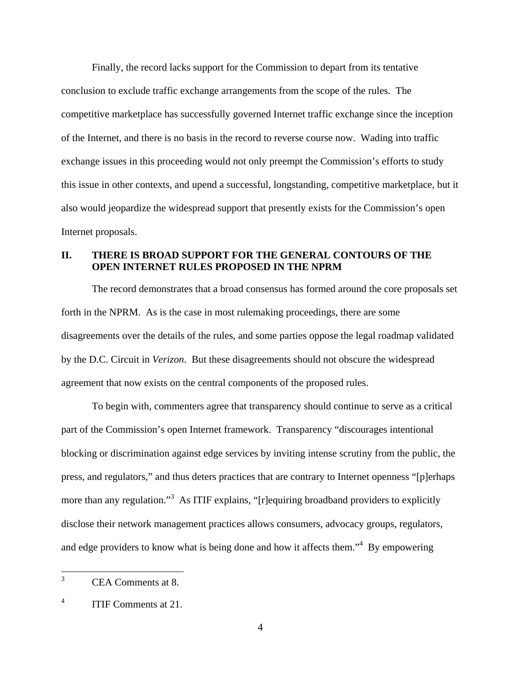Finally, the record lacks support for the Commission to depart from its tentative conclusion to exclude traffic exchange arrangements from the scope of the rules. The competitive marketplace has successfully governed Internet traffic exchange since the inception of the Internet, and there is no basis in the record to reverse course now. Wading into traffic exchange issues in this proceeding would not only preempt the Commission's efforts to study this issue in other contexts, and upend a successful, longstanding, competitive marketplace, but it also would jeopardize the widespread support that presently exists for the Commission's open Internet proposals.

### **II. THERE IS BROAD SUPPORT FOR THE GENERAL CONTOURS OF THE OPEN INTERNET RULES PROPOSED IN THE NPRM**

The record demonstrates that a broad consensus has formed around the core proposals set forth in the NPRM. As is the case in most rulemaking proceedings, there are some disagreements over the details of the rules, and some parties oppose the legal roadmap validated by the D.C. Circuit in *Verizon*. But these disagreements should not obscure the widespread agreement that now exists on the central components of the proposed rules.

To begin with*,* commenters agree that transparency should continue to serve as a critical part of the Commission's open Internet framework. Transparency "discourages intentional blocking or discrimination against edge services by inviting intense scrutiny from the public, the press, and regulators," and thus deters practices that are contrary to Internet openness "[p]erhaps more than any regulation."<sup>3</sup> As ITIF explains, "[r] equiring broadband providers to explicitly disclose their network management practices allows consumers, advocacy groups, regulators, and edge providers to know what is being done and how it affects them."<sup>4</sup> By empowering

 $\frac{1}{3}$ CEA Comments at 8.

<sup>4</sup> ITIF Comments at 21.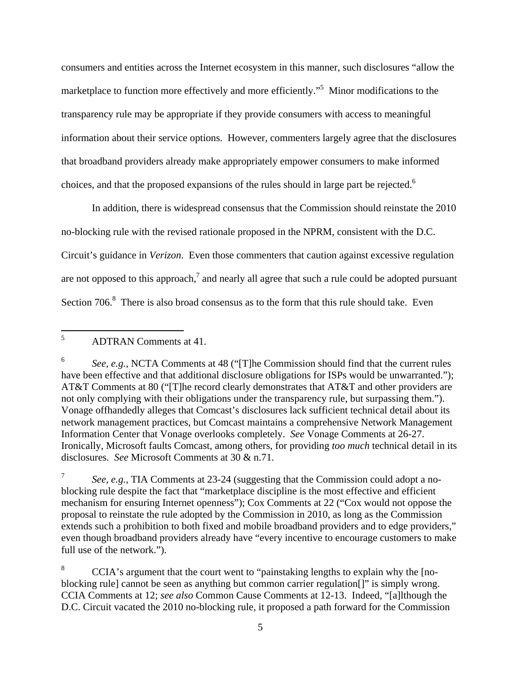consumers and entities across the Internet ecosystem in this manner, such disclosures "allow the marketplace to function more effectively and more efficiently."<sup>5</sup> Minor modifications to the transparency rule may be appropriate if they provide consumers with access to meaningful information about their service options. However, commenters largely agree that the disclosures that broadband providers already make appropriately empower consumers to make informed choices, and that the proposed expansions of the rules should in large part be rejected.<sup>6</sup>

In addition, there is widespread consensus that the Commission should reinstate the 2010 no-blocking rule with the revised rationale proposed in the NPRM, consistent with the D.C. Circuit's guidance in *Verizon*. Even those commenters that caution against excessive regulation are not opposed to this approach,<sup>7</sup> and nearly all agree that such a rule could be adopted pursuant Section  $706$ .<sup>8</sup> There is also broad consensus as to the form that this rule should take. Even

 5 ADTRAN Comments at 41.

<sup>6</sup> *See, e.g.*, NCTA Comments at 48 ("[T]he Commission should find that the current rules have been effective and that additional disclosure obligations for ISPs would be unwarranted."); AT&T Comments at 80 ("[T]he record clearly demonstrates that AT&T and other providers are not only complying with their obligations under the transparency rule, but surpassing them."). Vonage offhandedly alleges that Comcast's disclosures lack sufficient technical detail about its network management practices, but Comcast maintains a comprehensive Network Management Information Center that Vonage overlooks completely. *See* Vonage Comments at 26-27. Ironically, Microsoft faults Comcast, among others, for providing *too much* technical detail in its disclosures. *See* Microsoft Comments at 30 & n.71.

<sup>7</sup> *See, e.g.*, TIA Comments at 23-24 (suggesting that the Commission could adopt a noblocking rule despite the fact that "marketplace discipline is the most effective and efficient mechanism for ensuring Internet openness"); Cox Comments at 22 ("Cox would not oppose the proposal to reinstate the rule adopted by the Commission in 2010, as long as the Commission extends such a prohibition to both fixed and mobile broadband providers and to edge providers," even though broadband providers already have "every incentive to encourage customers to make full use of the network.").

<sup>8</sup> CCIA's argument that the court went to "painstaking lengths to explain why the [noblocking rule] cannot be seen as anything but common carrier regulation[]" is simply wrong. CCIA Comments at 12; *see also* Common Cause Comments at 12-13. Indeed, "[a]lthough the D.C. Circuit vacated the 2010 no-blocking rule, it proposed a path forward for the Commission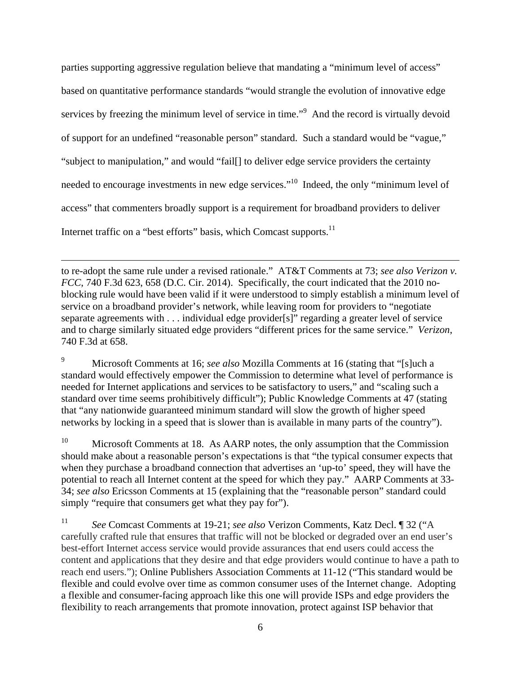parties supporting aggressive regulation believe that mandating a "minimum level of access" based on quantitative performance standards "would strangle the evolution of innovative edge services by freezing the minimum level of service in time."<sup>9</sup> And the record is virtually devoid of support for an undefined "reasonable person" standard. Such a standard would be "vague," "subject to manipulation," and would "fail[] to deliver edge service providers the certainty needed to encourage investments in new edge services."10 Indeed, the only "minimum level of access" that commenters broadly support is a requirement for broadband providers to deliver Internet traffic on a "best efforts" basis, which Comcast supports. $^{11}$ 

to re-adopt the same rule under a revised rationale." AT&T Comments at 73; *see also Verizon v. FCC*, 740 F.3d 623, 658 (D.C. Cir. 2014). Specifically, the court indicated that the 2010 noblocking rule would have been valid if it were understood to simply establish a minimum level of service on a broadband provider's network, while leaving room for providers to "negotiate separate agreements with . . . individual edge provider[s]" regarding a greater level of service and to charge similarly situated edge providers "different prices for the same service." *Verizon*, 740 F.3d at 658.

 $\overline{a}$ 

9 Microsoft Comments at 16; *see also* Mozilla Comments at 16 (stating that "[s]uch a standard would effectively empower the Commission to determine what level of performance is needed for Internet applications and services to be satisfactory to users," and "scaling such a standard over time seems prohibitively difficult"); Public Knowledge Comments at 47 (stating that "any nationwide guaranteed minimum standard will slow the growth of higher speed networks by locking in a speed that is slower than is available in many parts of the country").

<sup>10</sup> Microsoft Comments at 18. As AARP notes, the only assumption that the Commission should make about a reasonable person's expectations is that "the typical consumer expects that when they purchase a broadband connection that advertises an 'up-to' speed, they will have the potential to reach all Internet content at the speed for which they pay." AARP Comments at 33- 34; *see also* Ericsson Comments at 15 (explaining that the "reasonable person" standard could simply "require that consumers get what they pay for").

11 *See* Comcast Comments at 19-21; *see also* Verizon Comments, Katz Decl. ¶ 32 ("A carefully crafted rule that ensures that traffic will not be blocked or degraded over an end user's best-effort Internet access service would provide assurances that end users could access the content and applications that they desire and that edge providers would continue to have a path to reach end users."); Online Publishers Association Comments at 11-12 ("This standard would be flexible and could evolve over time as common consumer uses of the Internet change. Adopting a flexible and consumer-facing approach like this one will provide ISPs and edge providers the flexibility to reach arrangements that promote innovation, protect against ISP behavior that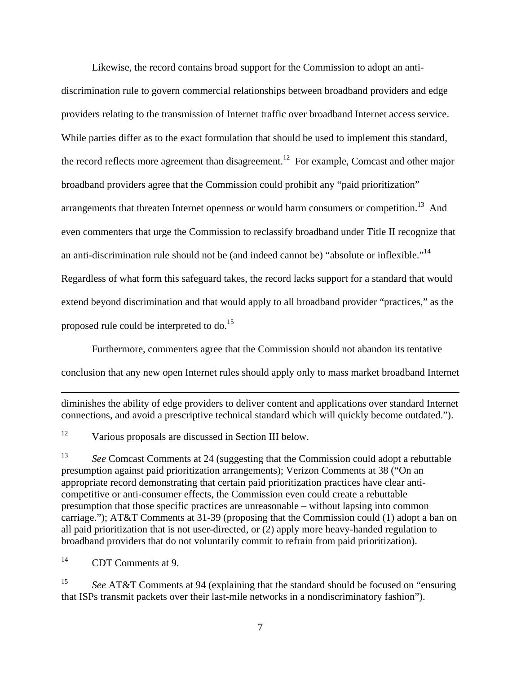Likewise, the record contains broad support for the Commission to adopt an anti-

discrimination rule to govern commercial relationships between broadband providers and edge providers relating to the transmission of Internet traffic over broadband Internet access service. While parties differ as to the exact formulation that should be used to implement this standard, the record reflects more agreement than disagreement.<sup>12</sup> For example, Comcast and other major broadband providers agree that the Commission could prohibit any "paid prioritization" arrangements that threaten Internet openness or would harm consumers or competition.<sup>13</sup> And even commenters that urge the Commission to reclassify broadband under Title II recognize that an anti-discrimination rule should not be (and indeed cannot be) "absolute or inflexible."14 Regardless of what form this safeguard takes, the record lacks support for a standard that would extend beyond discrimination and that would apply to all broadband provider "practices," as the proposed rule could be interpreted to do.<sup>15</sup>

Furthermore, commenters agree that the Commission should not abandon its tentative

conclusion that any new open Internet rules should apply only to mass market broadband Internet

diminishes the ability of edge providers to deliver content and applications over standard Internet connections, and avoid a prescriptive technical standard which will quickly become outdated.").

<sup>12</sup> Various proposals are discussed in Section III below.

13 *See* Comcast Comments at 24 (suggesting that the Commission could adopt a rebuttable presumption against paid prioritization arrangements); Verizon Comments at 38 ("On an appropriate record demonstrating that certain paid prioritization practices have clear anticompetitive or anti-consumer effects, the Commission even could create a rebuttable presumption that those specific practices are unreasonable – without lapsing into common carriage."); AT&T Comments at 31-39 (proposing that the Commission could (1) adopt a ban on all paid prioritization that is not user-directed, or (2) apply more heavy-handed regulation to broadband providers that do not voluntarily commit to refrain from paid prioritization).

14 CDT Comments at 9.

1

15 *See* AT&T Comments at 94 (explaining that the standard should be focused on "ensuring that ISPs transmit packets over their last-mile networks in a nondiscriminatory fashion").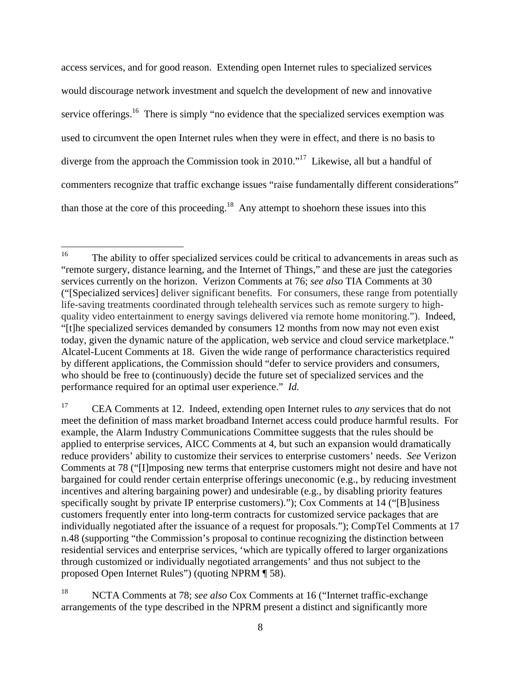access services, and for good reason. Extending open Internet rules to specialized services would discourage network investment and squelch the development of new and innovative service offerings.<sup>16</sup> There is simply "no evidence that the specialized services exemption was used to circumvent the open Internet rules when they were in effect, and there is no basis to diverge from the approach the Commission took in 2010.<sup>"17</sup> Likewise, all but a handful of commenters recognize that traffic exchange issues "raise fundamentally different considerations" than those at the core of this proceeding.<sup>18</sup> Any attempt to shoehorn these issues into this

<sup>16</sup> 16 The ability to offer specialized services could be critical to advancements in areas such as "remote surgery, distance learning, and the Internet of Things," and these are just the categories services currently on the horizon. Verizon Comments at 76; *see also* TIA Comments at 30 ("[Specialized services] deliver significant benefits. For consumers, these range from potentially life-saving treatments coordinated through telehealth services such as remote surgery to highquality video entertainment to energy savings delivered via remote home monitoring."). Indeed, "[t]he specialized services demanded by consumers 12 months from now may not even exist today, given the dynamic nature of the application, web service and cloud service marketplace." Alcatel-Lucent Comments at 18. Given the wide range of performance characteristics required by different applications, the Commission should "defer to service providers and consumers, who should be free to (continuously) decide the future set of specialized services and the performance required for an optimal user experience." *Id.* 

<sup>17</sup> CEA Comments at 12. Indeed, extending open Internet rules to *any* services that do not meet the definition of mass market broadband Internet access could produce harmful results. For example, the Alarm Industry Communications Committee suggests that the rules should be applied to enterprise services, AICC Comments at 4, but such an expansion would dramatically reduce providers' ability to customize their services to enterprise customers' needs. *See* Verizon Comments at 78 ("[I]mposing new terms that enterprise customers might not desire and have not bargained for could render certain enterprise offerings uneconomic (e.g., by reducing investment incentives and altering bargaining power) and undesirable (e.g., by disabling priority features specifically sought by private IP enterprise customers)."); Cox Comments at 14 ("[B]usiness customers frequently enter into long-term contracts for customized service packages that are individually negotiated after the issuance of a request for proposals."); CompTel Comments at 17 n.48 (supporting "the Commission's proposal to continue recognizing the distinction between residential services and enterprise services, 'which are typically offered to larger organizations through customized or individually negotiated arrangements' and thus not subject to the proposed Open Internet Rules") (quoting NPRM ¶ 58).

<sup>18</sup> NCTA Comments at 78; *see also* Cox Comments at 16 ("Internet traffic-exchange arrangements of the type described in the NPRM present a distinct and significantly more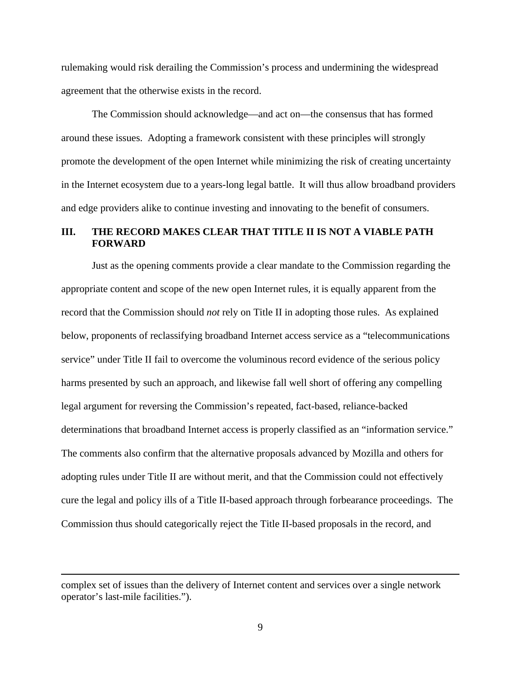rulemaking would risk derailing the Commission's process and undermining the widespread agreement that the otherwise exists in the record.

The Commission should acknowledge—and act on—the consensus that has formed around these issues. Adopting a framework consistent with these principles will strongly promote the development of the open Internet while minimizing the risk of creating uncertainty in the Internet ecosystem due to a years-long legal battle. It will thus allow broadband providers and edge providers alike to continue investing and innovating to the benefit of consumers.

#### **III. THE RECORD MAKES CLEAR THAT TITLE II IS NOT A VIABLE PATH FORWARD**

 Just as the opening comments provide a clear mandate to the Commission regarding the appropriate content and scope of the new open Internet rules, it is equally apparent from the record that the Commission should *not* rely on Title II in adopting those rules. As explained below, proponents of reclassifying broadband Internet access service as a "telecommunications service" under Title II fail to overcome the voluminous record evidence of the serious policy harms presented by such an approach, and likewise fall well short of offering any compelling legal argument for reversing the Commission's repeated, fact-based, reliance-backed determinations that broadband Internet access is properly classified as an "information service." The comments also confirm that the alternative proposals advanced by Mozilla and others for adopting rules under Title II are without merit, and that the Commission could not effectively cure the legal and policy ills of a Title II-based approach through forbearance proceedings. The Commission thus should categorically reject the Title II-based proposals in the record, and

 $\overline{a}$ 

complex set of issues than the delivery of Internet content and services over a single network operator's last-mile facilities.").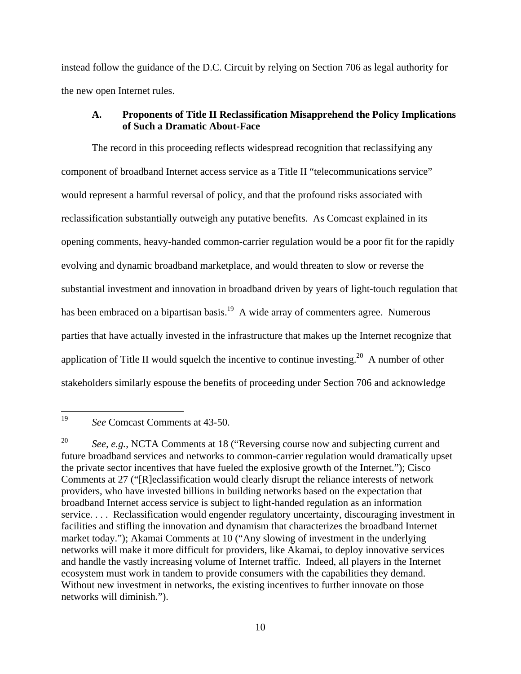instead follow the guidance of the D.C. Circuit by relying on Section 706 as legal authority for the new open Internet rules.

#### **A. Proponents of Title II Reclassification Misapprehend the Policy Implications of Such a Dramatic About-Face**

 The record in this proceeding reflects widespread recognition that reclassifying any component of broadband Internet access service as a Title II "telecommunications service" would represent a harmful reversal of policy, and that the profound risks associated with reclassification substantially outweigh any putative benefits. As Comcast explained in its opening comments, heavy-handed common-carrier regulation would be a poor fit for the rapidly evolving and dynamic broadband marketplace, and would threaten to slow or reverse the substantial investment and innovation in broadband driven by years of light-touch regulation that has been embraced on a bipartisan basis.<sup>19</sup> A wide array of commenters agree. Numerous parties that have actually invested in the infrastructure that makes up the Internet recognize that application of Title II would squelch the incentive to continue investing.<sup>20</sup> A number of other stakeholders similarly espouse the benefits of proceeding under Section 706 and acknowledge

<sup>19</sup> See Comcast Comments at 43-50.

<sup>&</sup>lt;sup>20</sup> *See, e.g.*, NCTA Comments at 18 ("Reversing course now and subjecting current and future broadband services and networks to common-carrier regulation would dramatically upset the private sector incentives that have fueled the explosive growth of the Internet."); Cisco Comments at 27 ("[R]eclassification would clearly disrupt the reliance interests of network providers, who have invested billions in building networks based on the expectation that broadband Internet access service is subject to light-handed regulation as an information service. . . . Reclassification would engender regulatory uncertainty, discouraging investment in facilities and stifling the innovation and dynamism that characterizes the broadband Internet market today."); Akamai Comments at 10 ("Any slowing of investment in the underlying networks will make it more difficult for providers, like Akamai, to deploy innovative services and handle the vastly increasing volume of Internet traffic. Indeed, all players in the Internet ecosystem must work in tandem to provide consumers with the capabilities they demand. Without new investment in networks, the existing incentives to further innovate on those networks will diminish.").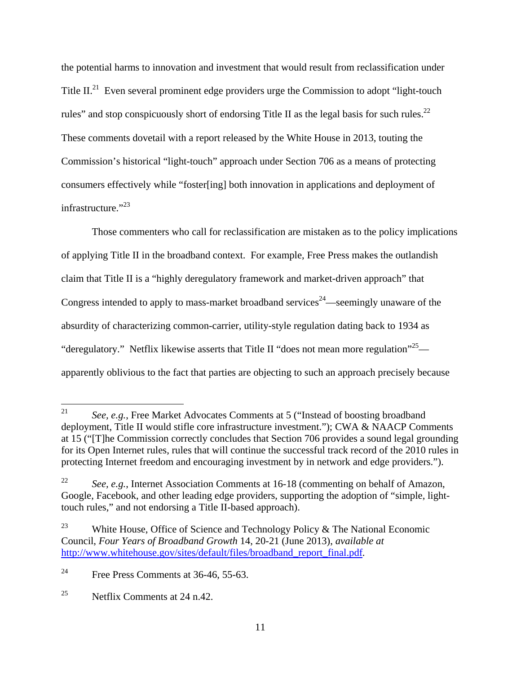the potential harms to innovation and investment that would result from reclassification under Title II.<sup>21</sup> Even several prominent edge providers urge the Commission to adopt "light-touch" rules" and stop conspicuously short of endorsing Title II as the legal basis for such rules.<sup>22</sup> These comments dovetail with a report released by the White House in 2013, touting the Commission's historical "light-touch" approach under Section 706 as a means of protecting consumers effectively while "foster[ing] both innovation in applications and deployment of infrastructure."<sup>23</sup>

 Those commenters who call for reclassification are mistaken as to the policy implications of applying Title II in the broadband context. For example, Free Press makes the outlandish claim that Title II is a "highly deregulatory framework and market-driven approach" that Congress intended to apply to mass-market broadband services<sup>24</sup>—seemingly unaware of the absurdity of characterizing common-carrier, utility-style regulation dating back to 1934 as "deregulatory." Netflix likewise asserts that Title II "does not mean more regulation"  $25$  apparently oblivious to the fact that parties are objecting to such an approach precisely because

<sup>21</sup> See, e.g., Free Market Advocates Comments at 5 ("Instead of boosting broadband") deployment, Title II would stifle core infrastructure investment."); CWA & NAACP Comments at 15 ("[T]he Commission correctly concludes that Section 706 provides a sound legal grounding for its Open Internet rules, rules that will continue the successful track record of the 2010 rules in protecting Internet freedom and encouraging investment by in network and edge providers.").

<sup>&</sup>lt;sup>22</sup> *See, e.g.*, Internet Association Comments at 16-18 (commenting on behalf of Amazon, Google, Facebook, and other leading edge providers, supporting the adoption of "simple, lighttouch rules," and not endorsing a Title II-based approach).

<sup>&</sup>lt;sup>23</sup> White House, Office of Science and Technology Policy & The National Economic Council, *Four Years of Broadband Growth* 14, 20-21 (June 2013), *available at*  http://www.whitehouse.gov/sites/default/files/broadband\_report\_final.pdf*.*

<sup>&</sup>lt;sup>24</sup> Free Press Comments at 36-46, 55-63.

<sup>&</sup>lt;sup>25</sup> Netflix Comments at  $24$  n.42.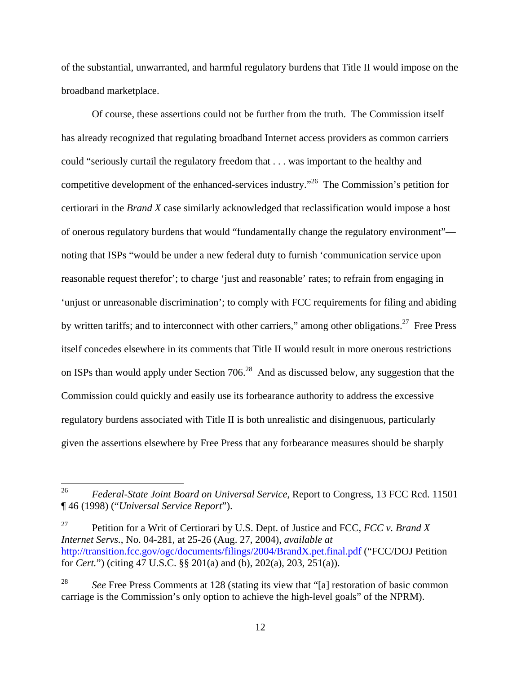of the substantial, unwarranted, and harmful regulatory burdens that Title II would impose on the broadband marketplace.

 Of course, these assertions could not be further from the truth. The Commission itself has already recognized that regulating broadband Internet access providers as common carriers could "seriously curtail the regulatory freedom that . . . was important to the healthy and competitive development of the enhanced-services industry."26 The Commission's petition for certiorari in the *Brand X* case similarly acknowledged that reclassification would impose a host of onerous regulatory burdens that would "fundamentally change the regulatory environment" noting that ISPs "would be under a new federal duty to furnish 'communication service upon reasonable request therefor'; to charge 'just and reasonable' rates; to refrain from engaging in 'unjust or unreasonable discrimination'; to comply with FCC requirements for filing and abiding by written tariffs; and to interconnect with other carriers," among other obligations.<sup>27</sup> Free Press itself concedes elsewhere in its comments that Title II would result in more onerous restrictions on ISPs than would apply under Section  $706<sup>28</sup>$  And as discussed below, any suggestion that the Commission could quickly and easily use its forbearance authority to address the excessive regulatory burdens associated with Title II is both unrealistic and disingenuous, particularly given the assertions elsewhere by Free Press that any forbearance measures should be sharply

<sup>26</sup> 26 *Federal-State Joint Board on Universal Service*, Report to Congress, 13 FCC Rcd. 11501 ¶ 46 (1998) ("*Universal Service Report*").

<sup>27</sup> Petition for a Writ of Certiorari by U.S. Dept. of Justice and FCC, *FCC v. Brand X Internet Servs.*, No. 04-281, at 25-26 (Aug. 27, 2004), *available at*  http://transition.fcc.gov/ogc/documents/filings/2004/BrandX.pet.final.pdf ("FCC/DOJ Petition for *Cert.*") (citing 47 U.S.C. §§ 201(a) and (b), 202(a), 203, 251(a)).

<sup>&</sup>lt;sup>28</sup> *See* Free Press Comments at 128 (stating its view that "[a] restoration of basic common carriage is the Commission's only option to achieve the high-level goals" of the NPRM).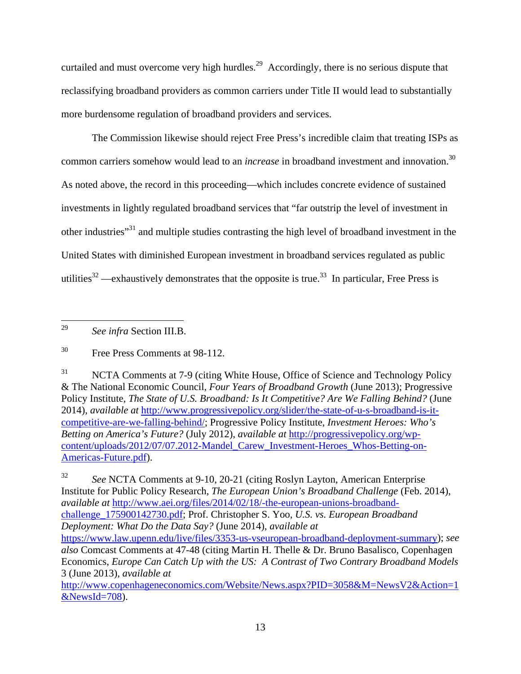curtailed and must overcome very high hurdles.<sup>29</sup> Accordingly, there is no serious dispute that reclassifying broadband providers as common carriers under Title II would lead to substantially more burdensome regulation of broadband providers and services.

 The Commission likewise should reject Free Press's incredible claim that treating ISPs as common carriers somehow would lead to an *increase* in broadband investment and innovation.<sup>30</sup> As noted above, the record in this proceeding—which includes concrete evidence of sustained investments in lightly regulated broadband services that "far outstrip the level of investment in other industries"31 and multiple studies contrasting the high level of broadband investment in the United States with diminished European investment in broadband services regulated as public utilities<sup>32</sup> —exhaustively demonstrates that the opposite is true.<sup>33</sup> In particular, Free Press is

29 29 *See infra* Section III.B.

<sup>31</sup> NCTA Comments at 7-9 (citing White House, Office of Science and Technology Policy & The National Economic Council, *Four Years of Broadband Growth* (June 2013); Progressive Policy Institute, *The State of U.S. Broadband: Is It Competitive? Are We Falling Behind?* (June 2014), *available at* http://www.progressivepolicy.org/slider/the-state-of-u-s-broadband-is-itcompetitive-are-we-falling-behind/; Progressive Policy Institute, *Investment Heroes: Who's Betting on America's Future?* (July 2012), *available at* http://progressivepolicy.org/wpcontent/uploads/2012/07/07.2012-Mandel\_Carew\_Investment-Heroes\_Whos-Betting-on-Americas-Future.pdf).

32 *See* NCTA Comments at 9-10, 20-21 (citing Roslyn Layton, American Enterprise Institute for Public Policy Research, *The European Union's Broadband Challenge* (Feb. 2014), *available at* http://www.aei.org/files/2014/02/18/-the-european-unions-broadbandchallenge\_175900142730.pdf; Prof. Christopher S. Yoo, *U.S. vs. European Broadband Deployment: What Do the Data Say?* (June 2014), *available at* https://www.law.upenn.edu/live/files/3353-us-vseuropean-broadband-deployment-summary); *see also* Comcast Comments at 47-48 (citing Martin H. Thelle & Dr. Bruno Basalisco, Copenhagen Economics, *Europe Can Catch Up with the US: A Contrast of Two Contrary Broadband Models* 3 (June 2013), *available at*  http://www.copenhageneconomics.com/Website/News.aspx?PID=3058&M=NewsV2&Action=1

 $&$ NewsId=708).

<sup>30</sup> Free Press Comments at 98-112.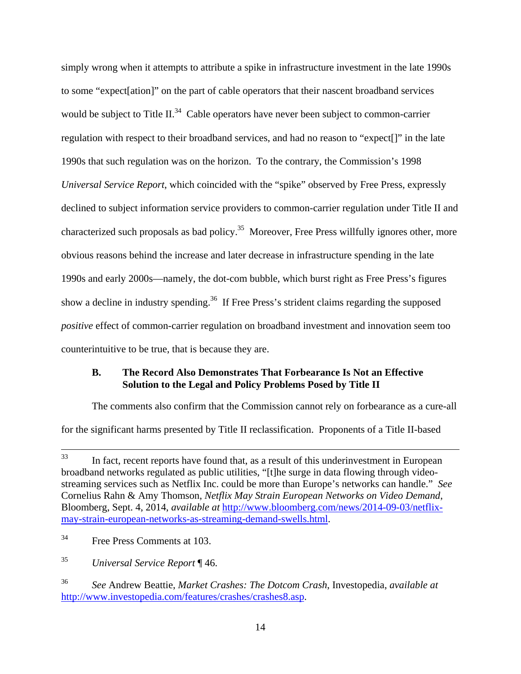simply wrong when it attempts to attribute a spike in infrastructure investment in the late 1990s to some "expect[ation]" on the part of cable operators that their nascent broadband services would be subject to Title II.<sup>34</sup> Cable operators have never been subject to common-carrier regulation with respect to their broadband services, and had no reason to "expect[]" in the late 1990s that such regulation was on the horizon. To the contrary, the Commission's 1998 *Universal Service Report*, which coincided with the "spike" observed by Free Press, expressly declined to subject information service providers to common-carrier regulation under Title II and characterized such proposals as bad policy.<sup>35</sup> Moreover, Free Press willfully ignores other, more obvious reasons behind the increase and later decrease in infrastructure spending in the late 1990s and early 2000s—namely, the dot-com bubble, which burst right as Free Press's figures show a decline in industry spending.<sup>36</sup> If Free Press's strident claims regarding the supposed *positive* effect of common-carrier regulation on broadband investment and innovation seem too counterintuitive to be true, that is because they are.

#### **B. The Record Also Demonstrates That Forbearance Is Not an Effective Solution to the Legal and Policy Problems Posed by Title II**

 The comments also confirm that the Commission cannot rely on forbearance as a cure-all for the significant harms presented by Title II reclassification. Proponents of a Title II-based

<sup>&</sup>lt;sup>33</sup> In fact, recent reports have found that, as a result of this underinvestment in European broadband networks regulated as public utilities, "[t]he surge in data flowing through videostreaming services such as Netflix Inc. could be more than Europe's networks can handle." *See*  Cornelius Rahn & Amy Thomson, *Netflix May Strain European Networks on Video Demand*, Bloomberg, Sept. 4, 2014, *available at* http://www.bloomberg.com/news/2014-09-03/netflixmay-strain-european-networks-as-streaming-demand-swells.html.

<sup>34</sup> Free Press Comments at 103.

<sup>35</sup> *Universal Service Report* ¶ 46.

<sup>36</sup> *See* Andrew Beattie, *Market Crashes: The Dotcom Crash*, Investopedia, *available at* http://www.investopedia.com/features/crashes/crashes8.asp.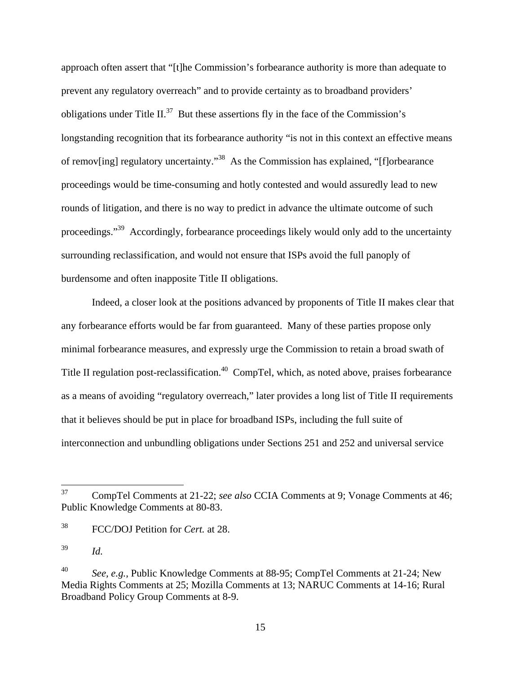approach often assert that "[t]he Commission's forbearance authority is more than adequate to prevent any regulatory overreach" and to provide certainty as to broadband providers' obligations under Title II.<sup>37</sup> But these assertions fly in the face of the Commission's longstanding recognition that its forbearance authority "is not in this context an effective means of remov[ing] regulatory uncertainty.<sup>38</sup> As the Commission has explained, "[f]orbearance proceedings would be time-consuming and hotly contested and would assuredly lead to new rounds of litigation, and there is no way to predict in advance the ultimate outcome of such proceedings."<sup>39</sup> Accordingly, forbearance proceedings likely would only add to the uncertainty surrounding reclassification, and would not ensure that ISPs avoid the full panoply of burdensome and often inapposite Title II obligations.

 Indeed, a closer look at the positions advanced by proponents of Title II makes clear that any forbearance efforts would be far from guaranteed. Many of these parties propose only minimal forbearance measures, and expressly urge the Commission to retain a broad swath of Title II regulation post-reclassification.<sup>40</sup> CompTel, which, as noted above, praises forbearance as a means of avoiding "regulatory overreach," later provides a long list of Title II requirements that it believes should be put in place for broadband ISPs, including the full suite of interconnection and unbundling obligations under Sections 251 and 252 and universal service

<sup>37</sup> 37 CompTel Comments at 21-22; *see also* CCIA Comments at 9; Vonage Comments at 46; Public Knowledge Comments at 80-83.

<sup>38</sup> FCC/DOJ Petition for *Cert.* at 28.

<sup>39</sup> *Id.*

<sup>40</sup> *See, e.g.*, Public Knowledge Comments at 88-95; CompTel Comments at 21-24; New Media Rights Comments at 25; Mozilla Comments at 13; NARUC Comments at 14-16; Rural Broadband Policy Group Comments at 8-9.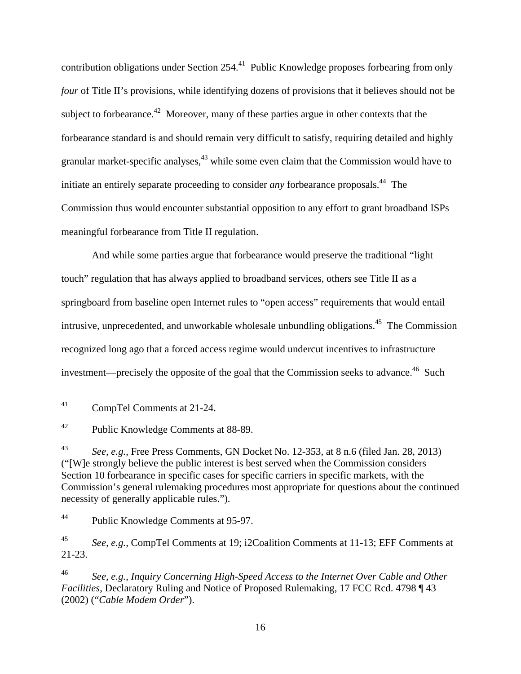contribution obligations under Section 254.<sup>41</sup> Public Knowledge proposes forbearing from only *four* of Title II's provisions, while identifying dozens of provisions that it believes should not be subject to forbearance.<sup>42</sup> Moreover, many of these parties argue in other contexts that the forbearance standard is and should remain very difficult to satisfy, requiring detailed and highly granular market-specific analyses, $43$  while some even claim that the Commission would have to initiate an entirely separate proceeding to consider *any* forbearance proposals.<sup>44</sup> The Commission thus would encounter substantial opposition to any effort to grant broadband ISPs meaningful forbearance from Title II regulation.

 And while some parties argue that forbearance would preserve the traditional "light touch" regulation that has always applied to broadband services, others see Title II as a springboard from baseline open Internet rules to "open access" requirements that would entail intrusive, unprecedented, and unworkable wholesale unbundling obligations.<sup>45</sup> The Commission recognized long ago that a forced access regime would undercut incentives to infrastructure investment—precisely the opposite of the goal that the Commission seeks to advance.<sup>46</sup> Such

44 Public Knowledge Comments at 95-97.

45 *See, e.g.*, CompTel Comments at 19; i2Coalition Comments at 11-13; EFF Comments at 21-23.

46 *See, e.g.*, *Inquiry Concerning High-Speed Access to the Internet Over Cable and Other Facilities*, Declaratory Ruling and Notice of Proposed Rulemaking, 17 FCC Rcd. 4798 ¶ 43 (2002) ("*Cable Modem Order*").

<sup>41</sup> CompTel Comments at 21-24.

<sup>42</sup> Public Knowledge Comments at 88-89.

<sup>43</sup> *See, e.g.*, Free Press Comments, GN Docket No. 12-353, at 8 n.6 (filed Jan. 28, 2013) ("[W]e strongly believe the public interest is best served when the Commission considers Section 10 forbearance in specific cases for specific carriers in specific markets, with the Commission's general rulemaking procedures most appropriate for questions about the continued necessity of generally applicable rules.").

<sup>16</sup>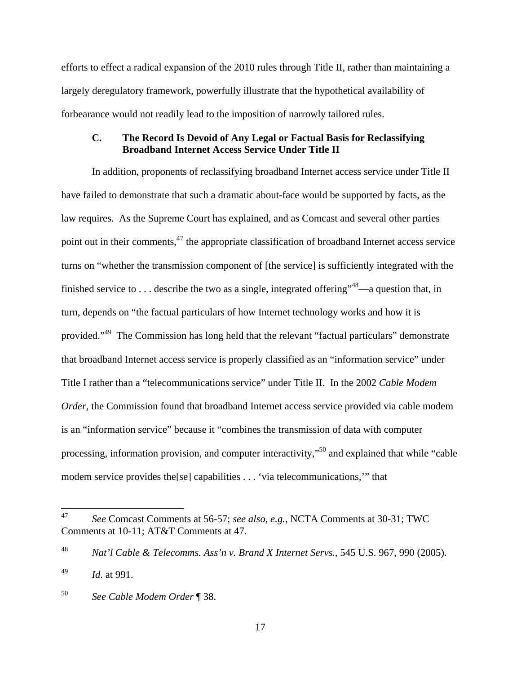efforts to effect a radical expansion of the 2010 rules through Title II, rather than maintaining a largely deregulatory framework, powerfully illustrate that the hypothetical availability of forbearance would not readily lead to the imposition of narrowly tailored rules.

#### **C. The Record Is Devoid of Any Legal or Factual Basis for Reclassifying Broadband Internet Access Service Under Title II**

 In addition, proponents of reclassifying broadband Internet access service under Title II have failed to demonstrate that such a dramatic about-face would be supported by facts, as the law requires. As the Supreme Court has explained, and as Comcast and several other parties point out in their comments, $47$  the appropriate classification of broadband Internet access service turns on "whether the transmission component of [the service] is sufficiently integrated with the finished service to ... describe the two as a single, integrated offering"  $48$ —a question that, in turn, depends on "the factual particulars of how Internet technology works and how it is provided."49 The Commission has long held that the relevant "factual particulars" demonstrate that broadband Internet access service is properly classified as an "information service" under Title I rather than a "telecommunications service" under Title II. In the 2002 *Cable Modem Order*, the Commission found that broadband Internet access service provided via cable modem is an "information service" because it "combines the transmission of data with computer processing, information provision, and computer interactivity,"50 and explained that while "cable modem service provides the[se] capabilities . . . 'via telecommunications,'" that

<sup>47</sup> 47 *See* Comcast Comments at 56-57; *see also, e.g.*, NCTA Comments at 30-31; TWC Comments at 10-11; AT&T Comments at 47.

<sup>48</sup> *Nat'l Cable & Telecomms. Ass'n v. Brand X Internet Servs.*, 545 U.S. 967, 990 (2005).

<sup>49</sup> *Id.* at 991.

<sup>50</sup> *See Cable Modem Order* ¶ 38.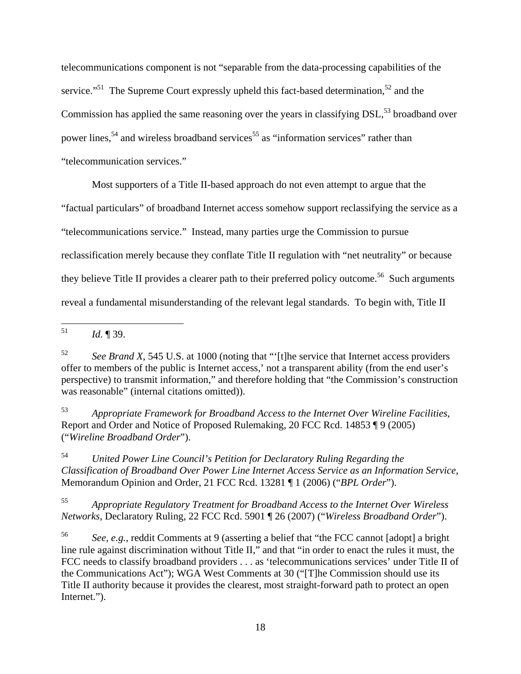telecommunications component is not "separable from the data-processing capabilities of the service."<sup>51</sup> The Supreme Court expressly upheld this fact-based determination,<sup>52</sup> and the Commission has applied the same reasoning over the years in classifying  $DSL<sub>53</sub>$  broadband over power lines,<sup>54</sup> and wireless broadband services<sup>55</sup> as "information services" rather than "telecommunication services."

Most supporters of a Title II-based approach do not even attempt to argue that the

"factual particulars" of broadband Internet access somehow support reclassifying the service as a

"telecommunications service." Instead, many parties urge the Commission to pursue

reclassification merely because they conflate Title II regulation with "net neutrality" or because

they believe Title II provides a clearer path to their preferred policy outcome.<sup>56</sup> Such arguments

reveal a fundamental misunderstanding of the relevant legal standards. To begin with, Title II

53 *Appropriate Framework for Broadband Access to the Internet Over Wireline Facilities*, Report and Order and Notice of Proposed Rulemaking, 20 FCC Rcd. 14853 ¶ 9 (2005) ("*Wireline Broadband Order*").

54 *United Power Line Council's Petition for Declaratory Ruling Regarding the Classification of Broadband Over Power Line Internet Access Service as an Information Service*, Memorandum Opinion and Order, 21 FCC Rcd. 13281 ¶ 1 (2006) ("*BPL Order*").

55 *Appropriate Regulatory Treatment for Broadband Access to the Internet Over Wireless Networks*, Declaratory Ruling, 22 FCC Rcd. 5901 ¶ 26 (2007) ("*Wireless Broadband Order*").

56 *See, e.g.*, reddit Comments at 9 (asserting a belief that "the FCC cannot [adopt] a bright line rule against discrimination without Title II," and that "in order to enact the rules it must, the FCC needs to classify broadband providers . . . as 'telecommunications services' under Title II of the Communications Act"); WGA West Comments at 30 ("[T]he Commission should use its Title II authority because it provides the clearest, most straight-forward path to protect an open Internet.").

<sup>51</sup> 51 *Id.* ¶ 39.

<sup>52</sup> *See Brand X*, 545 U.S. at 1000 (noting that "'[t]he service that Internet access providers offer to members of the public is Internet access,' not a transparent ability (from the end user's perspective) to transmit information," and therefore holding that "the Commission's construction was reasonable" (internal citations omitted)).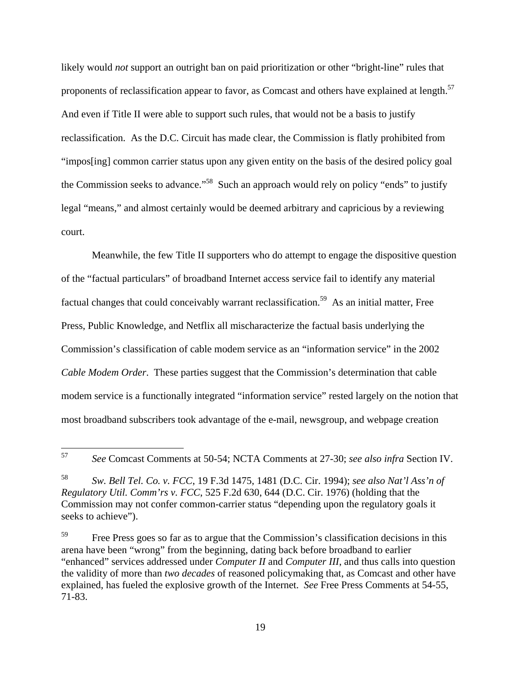likely would *not* support an outright ban on paid prioritization or other "bright-line" rules that proponents of reclassification appear to favor, as Comcast and others have explained at length.<sup>57</sup> And even if Title II were able to support such rules, that would not be a basis to justify reclassification. As the D.C. Circuit has made clear, the Commission is flatly prohibited from "impos[ing] common carrier status upon any given entity on the basis of the desired policy goal the Commission seeks to advance."<sup>58</sup> Such an approach would rely on policy "ends" to justify legal "means," and almost certainly would be deemed arbitrary and capricious by a reviewing court.

 Meanwhile, the few Title II supporters who do attempt to engage the dispositive question of the "factual particulars" of broadband Internet access service fail to identify any material factual changes that could conceivably warrant reclassification.<sup>59</sup> As an initial matter, Free Press, Public Knowledge, and Netflix all mischaracterize the factual basis underlying the Commission's classification of cable modem service as an "information service" in the 2002 *Cable Modem Order*. These parties suggest that the Commission's determination that cable modem service is a functionally integrated "information service" rested largely on the notion that most broadband subscribers took advantage of the e-mail, newsgroup, and webpage creation

 $\overline{a}$ 

<sup>57</sup> *See* Comcast Comments at 50-54; NCTA Comments at 27-30; *see also infra* Section IV.

<sup>58</sup> *Sw. Bell Tel. Co. v. FCC*, 19 F.3d 1475, 1481 (D.C. Cir. 1994); *see also Nat'l Ass'n of Regulatory Util. Comm'rs v. FCC*, 525 F.2d 630, 644 (D.C. Cir. 1976) (holding that the Commission may not confer common-carrier status "depending upon the regulatory goals it seeks to achieve").

<sup>&</sup>lt;sup>59</sup> Free Press goes so far as to argue that the Commission's classification decisions in this arena have been "wrong" from the beginning, dating back before broadband to earlier "enhanced" services addressed under *Computer II* and *Computer III*, and thus calls into question the validity of more than *two decades* of reasoned policymaking that, as Comcast and other have explained, has fueled the explosive growth of the Internet. *See* Free Press Comments at 54-55, 71-83.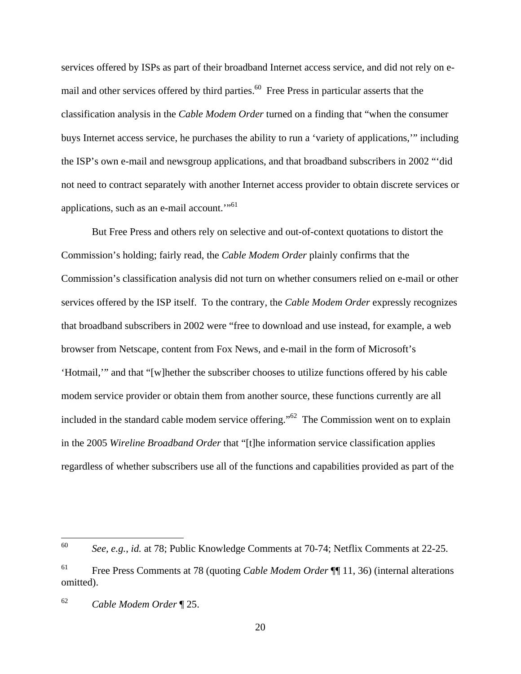services offered by ISPs as part of their broadband Internet access service, and did not rely on email and other services offered by third parties.<sup>60</sup> Free Press in particular asserts that the classification analysis in the *Cable Modem Order* turned on a finding that "when the consumer buys Internet access service, he purchases the ability to run a 'variety of applications,'" including the ISP's own e-mail and newsgroup applications, and that broadband subscribers in 2002 "'did not need to contract separately with another Internet access provider to obtain discrete services or applications, such as an e-mail account."<sup> $61$ </sup>

 But Free Press and others rely on selective and out-of-context quotations to distort the Commission's holding; fairly read, the *Cable Modem Order* plainly confirms that the Commission's classification analysis did not turn on whether consumers relied on e-mail or other services offered by the ISP itself. To the contrary, the *Cable Modem Order* expressly recognizes that broadband subscribers in 2002 were "free to download and use instead, for example, a web browser from Netscape, content from Fox News, and e-mail in the form of Microsoft's 'Hotmail,'" and that "[w]hether the subscriber chooses to utilize functions offered by his cable modem service provider or obtain them from another source, these functions currently are all included in the standard cable modem service offering."62 The Commission went on to explain in the 2005 *Wireline Broadband Order* that "[t]he information service classification applies regardless of whether subscribers use all of the functions and capabilities provided as part of the

<sup>60</sup> 60 *See, e.g.*, *id.* at 78; Public Knowledge Comments at 70-74; Netflix Comments at 22-25.

<sup>61</sup> Free Press Comments at 78 (quoting *Cable Modem Order* ¶¶ 11, 36) (internal alterations omitted).

<sup>62</sup> *Cable Modem Order* ¶ 25.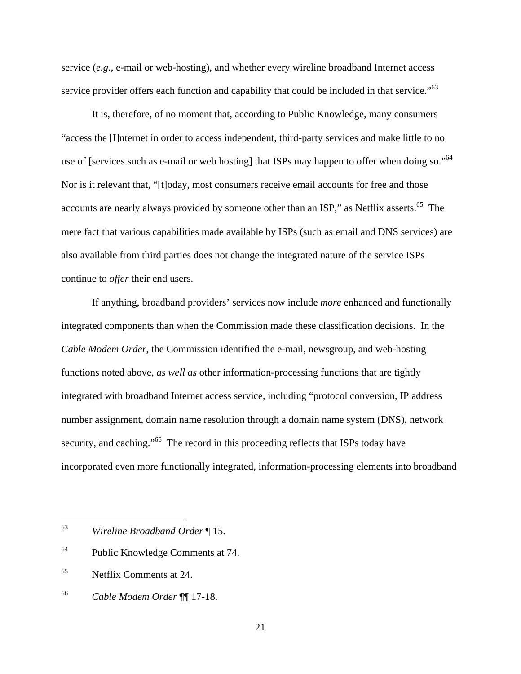service (*e.g.*, e-mail or web-hosting), and whether every wireline broadband Internet access service provider offers each function and capability that could be included in that service."<sup>63</sup>

 It is, therefore, of no moment that, according to Public Knowledge, many consumers "access the [I]nternet in order to access independent, third-party services and make little to no use of [services such as e-mail or web hosting] that ISPs may happen to offer when doing so."<sup>64</sup> Nor is it relevant that, "[t]oday, most consumers receive email accounts for free and those accounts are nearly always provided by someone other than an ISP," as Netflix asserts.<sup>65</sup> The mere fact that various capabilities made available by ISPs (such as email and DNS services) are also available from third parties does not change the integrated nature of the service ISPs continue to *offer* their end users.

 If anything, broadband providers' services now include *more* enhanced and functionally integrated components than when the Commission made these classification decisions. In the *Cable Modem Order*, the Commission identified the e-mail, newsgroup, and web-hosting functions noted above, *as well as* other information-processing functions that are tightly integrated with broadband Internet access service, including "protocol conversion, IP address number assignment, domain name resolution through a domain name system (DNS), network security, and caching."<sup>66</sup> The record in this proceeding reflects that ISPs today have incorporated even more functionally integrated, information-processing elements into broadband

<sup>63</sup> 63 *Wireline Broadband Order* ¶ 15.

<sup>64</sup> Public Knowledge Comments at 74.

<sup>65</sup> Netflix Comments at 24.

<sup>66</sup> *Cable Modem Order* ¶¶ 17-18.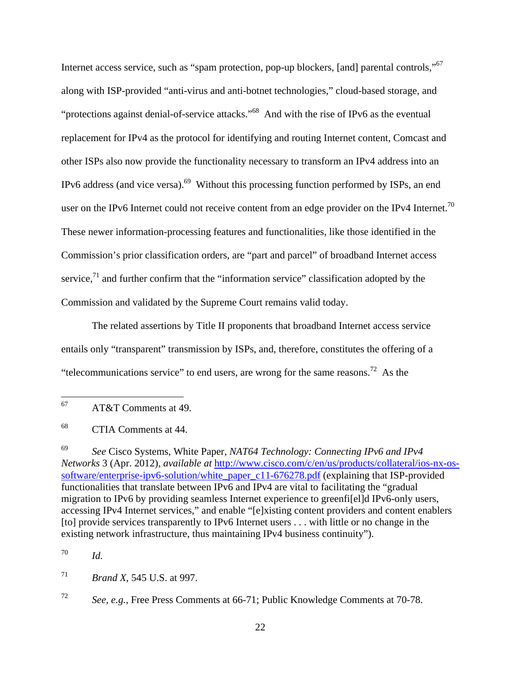Internet access service, such as "spam protection, pop-up blockers, [and] parental controls,"67 along with ISP-provided "anti-virus and anti-botnet technologies," cloud-based storage, and "protections against denial-of-service attacks."<sup>68</sup> And with the rise of IPv6 as the eventual replacement for IPv4 as the protocol for identifying and routing Internet content, Comcast and other ISPs also now provide the functionality necessary to transform an IPv4 address into an IPv6 address (and vice versa).69 Without this processing function performed by ISPs, an end user on the IPv6 Internet could not receive content from an edge provider on the IPv4 Internet.<sup>70</sup> These newer information-processing features and functionalities, like those identified in the Commission's prior classification orders, are "part and parcel" of broadband Internet access service, $71$  and further confirm that the "information service" classification adopted by the Commission and validated by the Supreme Court remains valid today.

 The related assertions by Title II proponents that broadband Internet access service entails only "transparent" transmission by ISPs, and, therefore, constitutes the offering of a "telecommunications service" to end users, are wrong for the same reasons.<sup>72</sup> As the

<sup>67</sup> 67 AT&T Comments at 49.

<sup>68</sup> CTIA Comments at 44.

<sup>69</sup> *See* Cisco Systems, White Paper, *NAT64 Technology: Connecting IPv6 and IPv4 Networks* 3 (Apr. 2012), *available at* http://www.cisco.com/c/en/us/products/collateral/ios-nx-ossoftware/enterprise-ipv6-solution/white\_paper\_c11-676278.pdf (explaining that ISP-provided functionalities that translate between IPv6 and IPv4 are vital to facilitating the "gradual migration to IPv6 by providing seamless Internet experience to greenfi[el]d IPv6-only users, accessing IPv4 Internet services," and enable "[e]xisting content providers and content enablers [to] provide services transparently to IPv6 Internet users . . . with little or no change in the existing network infrastructure, thus maintaining IPv4 business continuity").

<sup>70</sup> *Id.*

<sup>71</sup> *Brand X*, 545 U.S. at 997.

<sup>72</sup> *See, e.g.*, Free Press Comments at 66-71; Public Knowledge Comments at 70-78.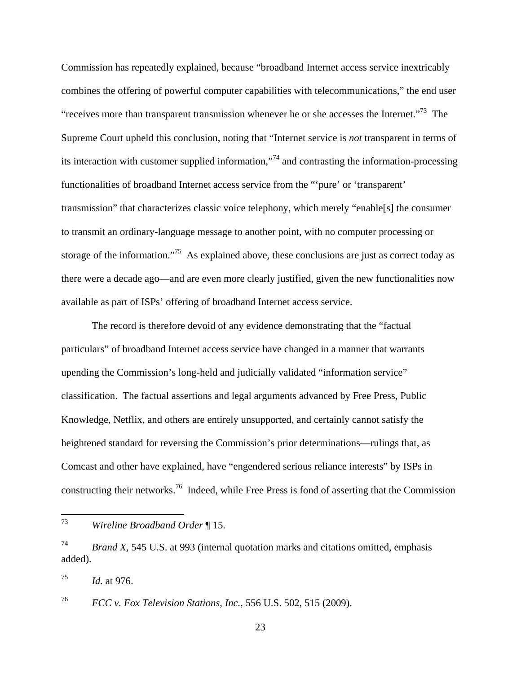Commission has repeatedly explained, because "broadband Internet access service inextricably combines the offering of powerful computer capabilities with telecommunications," the end user "receives more than transparent transmission whenever he or she accesses the Internet."<sup>73</sup> The Supreme Court upheld this conclusion, noting that "Internet service is *not* transparent in terms of its interaction with customer supplied information,"74 and contrasting the information-processing functionalities of broadband Internet access service from the "'pure' or 'transparent' transmission" that characterizes classic voice telephony, which merely "enable[s] the consumer to transmit an ordinary-language message to another point, with no computer processing or storage of the information."<sup>75</sup> As explained above, these conclusions are just as correct today as there were a decade ago—and are even more clearly justified, given the new functionalities now available as part of ISPs' offering of broadband Internet access service.

 The record is therefore devoid of any evidence demonstrating that the "factual particulars" of broadband Internet access service have changed in a manner that warrants upending the Commission's long-held and judicially validated "information service" classification. The factual assertions and legal arguments advanced by Free Press, Public Knowledge, Netflix, and others are entirely unsupported, and certainly cannot satisfy the heightened standard for reversing the Commission's prior determinations—rulings that, as Comcast and other have explained, have "engendered serious reliance interests" by ISPs in constructing their networks.76 Indeed, while Free Press is fond of asserting that the Commission

<sup>73</sup> 73 *Wireline Broadband Order* ¶ 15.

<sup>74</sup> *Brand X*, 545 U.S. at 993 (internal quotation marks and citations omitted, emphasis added).

<sup>75</sup> *Id.* at 976.

<sup>76</sup> *FCC v. Fox Television Stations, Inc.*, 556 U.S. 502, 515 (2009).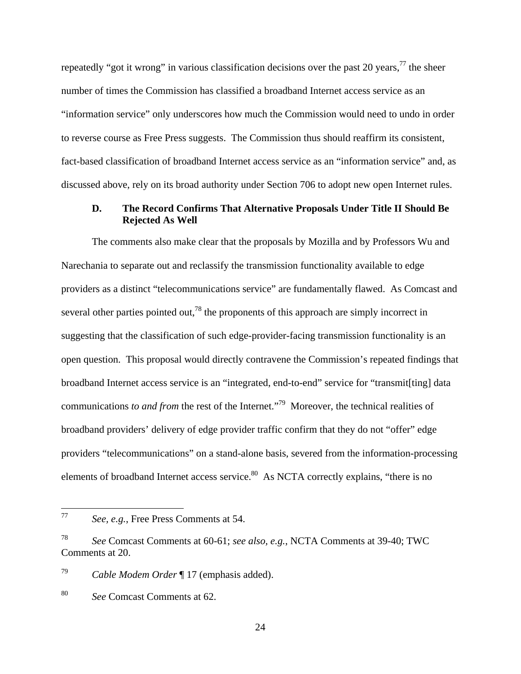repeatedly "got it wrong" in various classification decisions over the past 20 years,  $77$  the sheer number of times the Commission has classified a broadband Internet access service as an "information service" only underscores how much the Commission would need to undo in order to reverse course as Free Press suggests. The Commission thus should reaffirm its consistent, fact-based classification of broadband Internet access service as an "information service" and, as discussed above, rely on its broad authority under Section 706 to adopt new open Internet rules.

#### **D. The Record Confirms That Alternative Proposals Under Title II Should Be Rejected As Well**

 The comments also make clear that the proposals by Mozilla and by Professors Wu and Narechania to separate out and reclassify the transmission functionality available to edge providers as a distinct "telecommunications service" are fundamentally flawed. As Comcast and several other parties pointed out,<sup>78</sup> the proponents of this approach are simply incorrect in suggesting that the classification of such edge-provider-facing transmission functionality is an open question. This proposal would directly contravene the Commission's repeated findings that broadband Internet access service is an "integrated, end-to-end" service for "transmit[ting] data communications *to and from* the rest of the Internet."79 Moreover, the technical realities of broadband providers' delivery of edge provider traffic confirm that they do not "offer" edge providers "telecommunications" on a stand-alone basis, severed from the information-processing elements of broadband Internet access service.<sup>80</sup> As NCTA correctly explains, "there is no

79 *Cable Modem Order* ¶ 17 (emphasis added).

 $77$ See, e.g., Free Press Comments at 54.

<sup>78</sup> *See* Comcast Comments at 60-61; *see also, e.g.*, NCTA Comments at 39-40; TWC Comments at 20.

<sup>80</sup> *See* Comcast Comments at 62.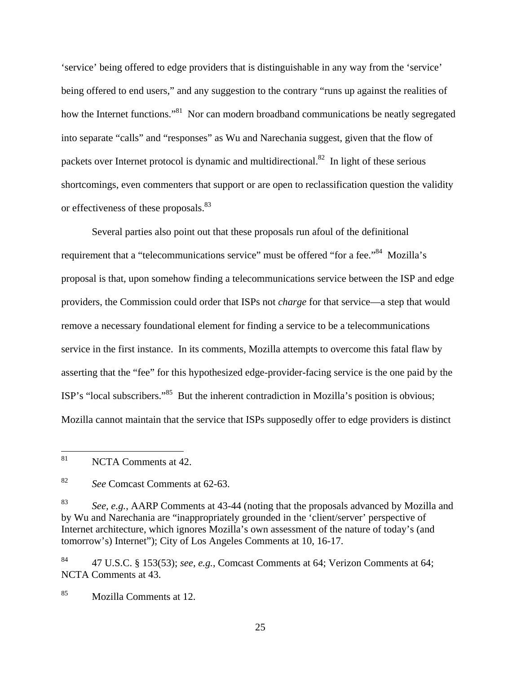'service' being offered to edge providers that is distinguishable in any way from the 'service' being offered to end users," and any suggestion to the contrary "runs up against the realities of how the Internet functions."<sup>81</sup> Nor can modern broadband communications be neatly segregated into separate "calls" and "responses" as Wu and Narechania suggest, given that the flow of packets over Internet protocol is dynamic and multidirectional.<sup>82</sup> In light of these serious shortcomings, even commenters that support or are open to reclassification question the validity or effectiveness of these proposals.<sup>83</sup>

 Several parties also point out that these proposals run afoul of the definitional requirement that a "telecommunications service" must be offered "for a fee."<sup>84</sup> Mozilla's proposal is that, upon somehow finding a telecommunications service between the ISP and edge providers, the Commission could order that ISPs not *charge* for that service—a step that would remove a necessary foundational element for finding a service to be a telecommunications service in the first instance. In its comments, Mozilla attempts to overcome this fatal flaw by asserting that the "fee" for this hypothesized edge-provider-facing service is the one paid by the ISP's "local subscribers."85 But the inherent contradiction in Mozilla's position is obvious; Mozilla cannot maintain that the service that ISPs supposedly offer to edge providers is distinct

83 *See, e.g.*, AARP Comments at 43-44 (noting that the proposals advanced by Mozilla and by Wu and Narechania are "inappropriately grounded in the 'client/server' perspective of Internet architecture, which ignores Mozilla's own assessment of the nature of today's (and tomorrow's) Internet"); City of Los Angeles Comments at 10, 16-17.

84 47 U.S.C. § 153(53); *see, e.g.*, Comcast Comments at 64; Verizon Comments at 64; NCTA Comments at 43.

85 Mozilla Comments at 12.

25

<sup>81</sup> NCTA Comments at 42.

<sup>82</sup> *See* Comcast Comments at 62-63.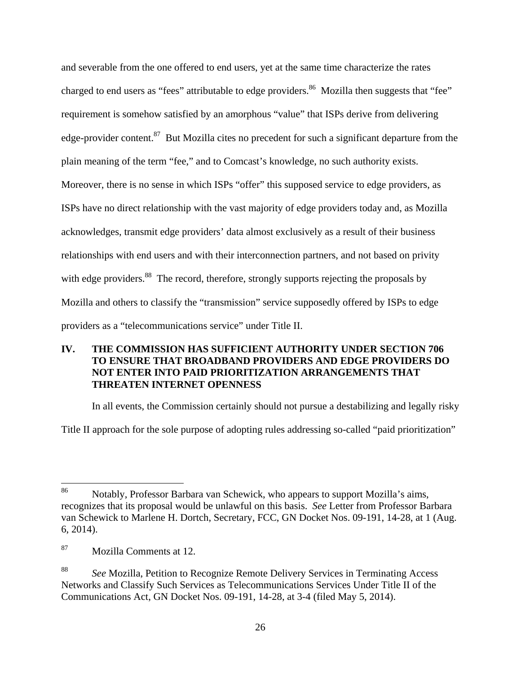and severable from the one offered to end users, yet at the same time characterize the rates charged to end users as "fees" attributable to edge providers.<sup>86</sup> Mozilla then suggests that "fee" requirement is somehow satisfied by an amorphous "value" that ISPs derive from delivering edge-provider content.<sup>87</sup> But Mozilla cites no precedent for such a significant departure from the plain meaning of the term "fee," and to Comcast's knowledge, no such authority exists. Moreover, there is no sense in which ISPs "offer" this supposed service to edge providers, as ISPs have no direct relationship with the vast majority of edge providers today and, as Mozilla acknowledges, transmit edge providers' data almost exclusively as a result of their business relationships with end users and with their interconnection partners, and not based on privity with edge providers.<sup>88</sup> The record, therefore, strongly supports rejecting the proposals by Mozilla and others to classify the "transmission" service supposedly offered by ISPs to edge providers as a "telecommunications service" under Title II.

### **IV. THE COMMISSION HAS SUFFICIENT AUTHORITY UNDER SECTION 706 TO ENSURE THAT BROADBAND PROVIDERS AND EDGE PROVIDERS DO NOT ENTER INTO PAID PRIORITIZATION ARRANGEMENTS THAT THREATEN INTERNET OPENNESS**

In all events, the Commission certainly should not pursue a destabilizing and legally risky

Title II approach for the sole purpose of adopting rules addressing so-called "paid prioritization"

<sup>86</sup> 86 Notably, Professor Barbara van Schewick, who appears to support Mozilla's aims, recognizes that its proposal would be unlawful on this basis. *See* Letter from Professor Barbara van Schewick to Marlene H. Dortch, Secretary, FCC, GN Docket Nos. 09-191, 14-28, at 1 (Aug. 6, 2014).

<sup>87</sup> Mozilla Comments at 12.

<sup>88</sup> *See* Mozilla, Petition to Recognize Remote Delivery Services in Terminating Access Networks and Classify Such Services as Telecommunications Services Under Title II of the Communications Act, GN Docket Nos. 09-191, 14-28, at 3-4 (filed May 5, 2014).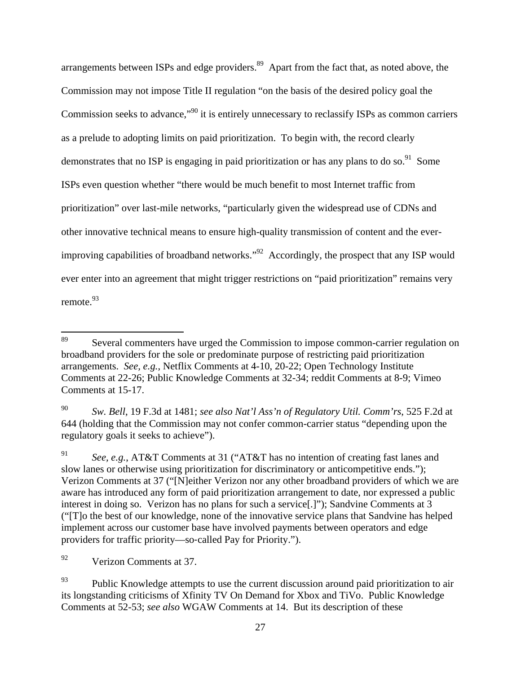arrangements between ISPs and edge providers.<sup>89</sup> Apart from the fact that, as noted above, the Commission may not impose Title II regulation "on the basis of the desired policy goal the Commission seeks to advance,<sup>"90</sup> it is entirely unnecessary to reclassify ISPs as common carriers as a prelude to adopting limits on paid prioritization. To begin with, the record clearly demonstrates that no ISP is engaging in paid prioritization or has any plans to do so.<sup>91</sup> Some ISPs even question whether "there would be much benefit to most Internet traffic from prioritization" over last-mile networks, "particularly given the widespread use of CDNs and other innovative technical means to ensure high-quality transmission of content and the everimproving capabilities of broadband networks."<sup>92</sup> Accordingly, the prospect that any ISP would ever enter into an agreement that might trigger restrictions on "paid prioritization" remains very remote.<sup>93</sup>

92 Verizon Comments at 37.

<sup>89</sup> Several commenters have urged the Commission to impose common-carrier regulation on broadband providers for the sole or predominate purpose of restricting paid prioritization arrangements. *See, e.g.*, Netflix Comments at 4-10, 20-22; Open Technology Institute Comments at 22-26; Public Knowledge Comments at 32-34; reddit Comments at 8-9; Vimeo Comments at 15-17.

<sup>90</sup> *Sw. Bell*, 19 F.3d at 1481; *see also Nat'l Ass'n of Regulatory Util. Comm'rs*, 525 F.2d at 644 (holding that the Commission may not confer common-carrier status "depending upon the regulatory goals it seeks to achieve").

<sup>91</sup> *See, e.g.*, AT&T Comments at 31 ("AT&T has no intention of creating fast lanes and slow lanes or otherwise using prioritization for discriminatory or anticompetitive ends."); Verizon Comments at 37 ("[N]either Verizon nor any other broadband providers of which we are aware has introduced any form of paid prioritization arrangement to date, nor expressed a public interest in doing so. Verizon has no plans for such a service[.]"); Sandvine Comments at 3 ("[T]o the best of our knowledge, none of the innovative service plans that Sandvine has helped implement across our customer base have involved payments between operators and edge providers for traffic priority—so‐called Pay for Priority.").

 $93$  Public Knowledge attempts to use the current discussion around paid prioritization to air its longstanding criticisms of Xfinity TV On Demand for Xbox and TiVo. Public Knowledge Comments at 52-53; *see also* WGAW Comments at 14. But its description of these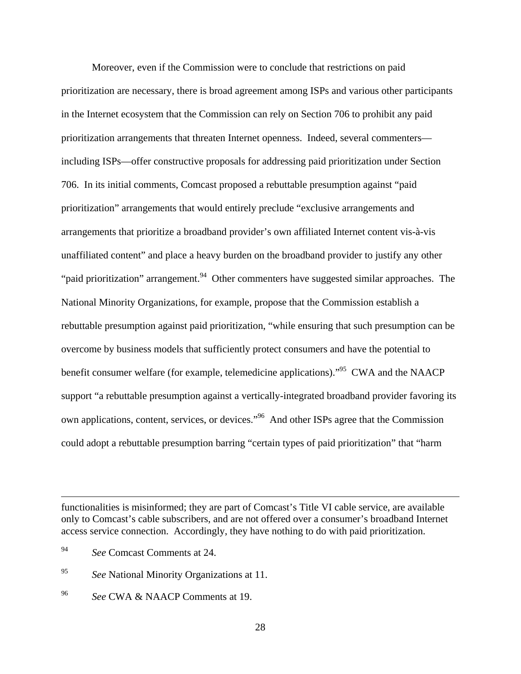Moreover, even if the Commission were to conclude that restrictions on paid prioritization are necessary, there is broad agreement among ISPs and various other participants in the Internet ecosystem that the Commission can rely on Section 706 to prohibit any paid prioritization arrangements that threaten Internet openness. Indeed, several commenters including ISPs—offer constructive proposals for addressing paid prioritization under Section 706. In its initial comments, Comcast proposed a rebuttable presumption against "paid prioritization" arrangements that would entirely preclude "exclusive arrangements and arrangements that prioritize a broadband provider's own affiliated Internet content vis-à-vis unaffiliated content" and place a heavy burden on the broadband provider to justify any other "paid prioritization" arrangement.  $94$  Other commenters have suggested similar approaches. The National Minority Organizations, for example, propose that the Commission establish a rebuttable presumption against paid prioritization, "while ensuring that such presumption can be overcome by business models that sufficiently protect consumers and have the potential to benefit consumer welfare (for example, telemedicine applications).<sup>95</sup> CWA and the NAACP support "a rebuttable presumption against a vertically-integrated broadband provider favoring its own applications, content, services, or devices."96 And other ISPs agree that the Commission could adopt a rebuttable presumption barring "certain types of paid prioritization" that "harm

 $\overline{a}$ 

96 *See* CWA & NAACP Comments at 19.

functionalities is misinformed; they are part of Comcast's Title VI cable service, are available only to Comcast's cable subscribers, and are not offered over a consumer's broadband Internet access service connection. Accordingly, they have nothing to do with paid prioritization.

<sup>94</sup> *See* Comcast Comments at 24.

<sup>95</sup> *See* National Minority Organizations at 11.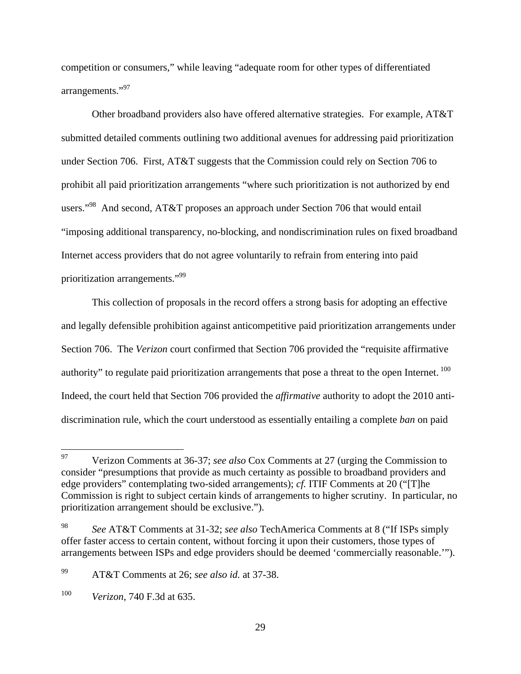competition or consumers," while leaving "adequate room for other types of differentiated arrangements."<sup>97</sup>

Other broadband providers also have offered alternative strategies. For example, AT&T submitted detailed comments outlining two additional avenues for addressing paid prioritization under Section 706. First, AT&T suggests that the Commission could rely on Section 706 to prohibit all paid prioritization arrangements "where such prioritization is not authorized by end users."<sup>98</sup> And second, AT&T proposes an approach under Section 706 that would entail "imposing additional transparency, no-blocking, and nondiscrimination rules on fixed broadband Internet access providers that do not agree voluntarily to refrain from entering into paid prioritization arrangements."99

This collection of proposals in the record offers a strong basis for adopting an effective and legally defensible prohibition against anticompetitive paid prioritization arrangements under Section 706. The *Verizon* court confirmed that Section 706 provided the "requisite affirmative authority" to regulate paid prioritization arrangements that pose a threat to the open Internet. <sup>100</sup> Indeed, the court held that Section 706 provided the *affirmative* authority to adopt the 2010 antidiscrimination rule, which the court understood as essentially entailing a complete *ban* on paid

<sup>97</sup> 97 Verizon Comments at 36-37; *see also* Cox Comments at 27 (urging the Commission to consider "presumptions that provide as much certainty as possible to broadband providers and edge providers" contemplating two-sided arrangements); *cf.* ITIF Comments at 20 ("[T]he Commission is right to subject certain kinds of arrangements to higher scrutiny. In particular, no prioritization arrangement should be exclusive.").

<sup>98</sup> *See* AT&T Comments at 31-32; *see also* TechAmerica Comments at 8 ("If ISPs simply offer faster access to certain content, without forcing it upon their customers, those types of arrangements between ISPs and edge providers should be deemed 'commercially reasonable.'").

<sup>99</sup> AT&T Comments at 26; *see also id.* at 37-38.

<sup>100</sup> *Verizon*, 740 F.3d at 635.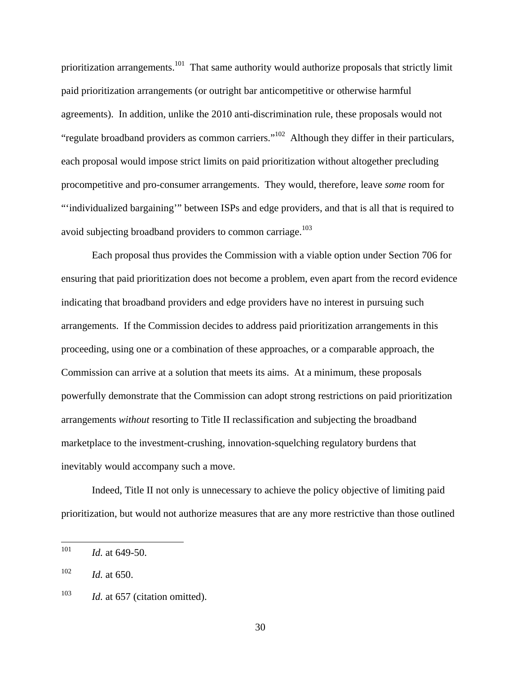prioritization arrangements.<sup>101</sup> That same authority would authorize proposals that strictly limit paid prioritization arrangements (or outright bar anticompetitive or otherwise harmful agreements). In addition, unlike the 2010 anti-discrimination rule, these proposals would not "regulate broadband providers as common carriers."102 Although they differ in their particulars, each proposal would impose strict limits on paid prioritization without altogether precluding procompetitive and pro-consumer arrangements. They would, therefore, leave *some* room for "'individualized bargaining'" between ISPs and edge providers, and that is all that is required to avoid subjecting broadband providers to common carriage.<sup>103</sup>

 Each proposal thus provides the Commission with a viable option under Section 706 for ensuring that paid prioritization does not become a problem, even apart from the record evidence indicating that broadband providers and edge providers have no interest in pursuing such arrangements. If the Commission decides to address paid prioritization arrangements in this proceeding, using one or a combination of these approaches, or a comparable approach, the Commission can arrive at a solution that meets its aims. At a minimum, these proposals powerfully demonstrate that the Commission can adopt strong restrictions on paid prioritization arrangements *without* resorting to Title II reclassification and subjecting the broadband marketplace to the investment-crushing, innovation-squelching regulatory burdens that inevitably would accompany such a move.

Indeed, Title II not only is unnecessary to achieve the policy objective of limiting paid prioritization, but would not authorize measures that are any more restrictive than those outlined

 $102$  *Id.* at 650.

30

<sup>101</sup> *Id.* at 649-50.

<sup>&</sup>lt;sup>103</sup> *Id.* at 657 (citation omitted).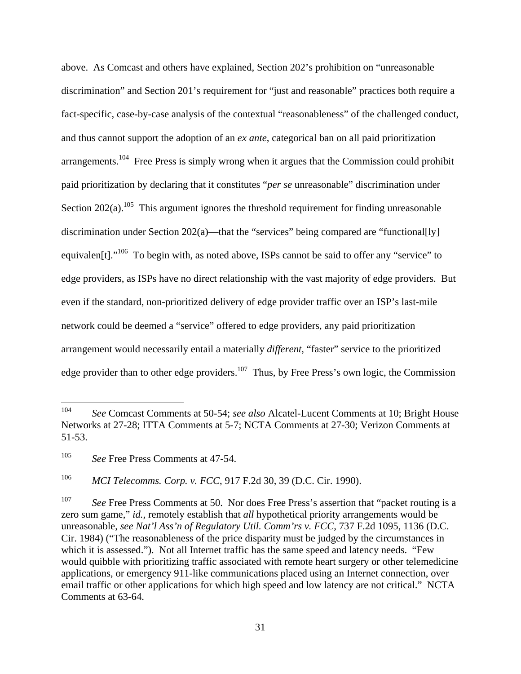above. As Comcast and others have explained, Section 202's prohibition on "unreasonable discrimination" and Section 201's requirement for "just and reasonable" practices both require a fact-specific, case-by-case analysis of the contextual "reasonableness" of the challenged conduct, and thus cannot support the adoption of an *ex ante*, categorical ban on all paid prioritization arrangements.<sup>104</sup> Free Press is simply wrong when it argues that the Commission could prohibit paid prioritization by declaring that it constitutes "*per se* unreasonable" discrimination under Section 202(a).<sup>105</sup> This argument ignores the threshold requirement for finding unreasonable discrimination under Section 202(a)—that the "services" being compared are "functional[ly] equivalen<sup>[t]</sup>.<sup>"106</sup> To begin with, as noted above, ISPs cannot be said to offer any "service" to edge providers, as ISPs have no direct relationship with the vast majority of edge providers. But even if the standard, non-prioritized delivery of edge provider traffic over an ISP's last-mile network could be deemed a "service" offered to edge providers, any paid prioritization arrangement would necessarily entail a materially *different*, "faster" service to the prioritized edge provider than to other edge providers.<sup>107</sup> Thus, by Free Press's own logic, the Commission

<sup>104</sup> 104 *See* Comcast Comments at 50-54; *see also* Alcatel-Lucent Comments at 10; Bright House Networks at 27-28; ITTA Comments at 5-7; NCTA Comments at 27-30; Verizon Comments at 51-53.

<sup>105</sup> *See* Free Press Comments at 47-54.

<sup>106</sup> *MCI Telecomms. Corp. v. FCC*, 917 F.2d 30, 39 (D.C. Cir. 1990).

<sup>&</sup>lt;sup>107</sup> *See* Free Press Comments at 50. Nor does Free Press's assertion that "packet routing is a zero sum game," *id.*, remotely establish that *all* hypothetical priority arrangements would be unreasonable, *see Nat'l Ass'n of Regulatory Util. Comm'rs v. FCC*, 737 F.2d 1095, 1136 (D.C. Cir. 1984) ("The reasonableness of the price disparity must be judged by the circumstances in which it is assessed."). Not all Internet traffic has the same speed and latency needs. "Few would quibble with prioritizing traffic associated with remote heart surgery or other telemedicine applications, or emergency 911-like communications placed using an Internet connection, over email traffic or other applications for which high speed and low latency are not critical." NCTA Comments at 63-64.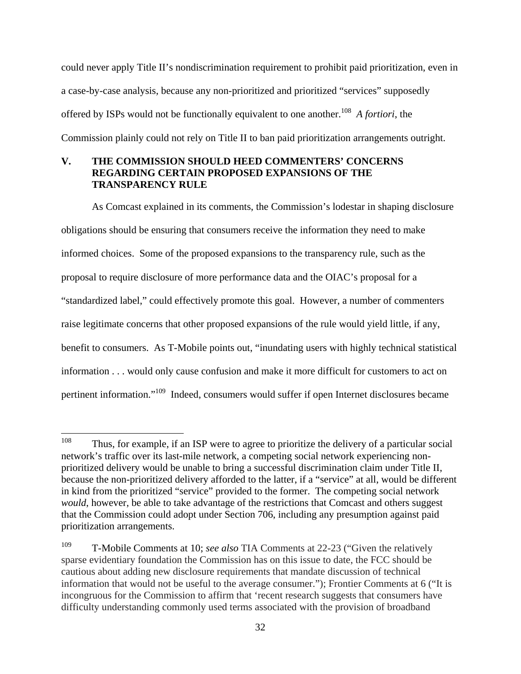could never apply Title II's nondiscrimination requirement to prohibit paid prioritization, even in a case-by-case analysis, because any non-prioritized and prioritized "services" supposedly offered by ISPs would not be functionally equivalent to one another.<sup>108</sup> *A fortiori*, the Commission plainly could not rely on Title II to ban paid prioritization arrangements outright.

### **V. THE COMMISSION SHOULD HEED COMMENTERS' CONCERNS REGARDING CERTAIN PROPOSED EXPANSIONS OF THE TRANSPARENCY RULE**

As Comcast explained in its comments, the Commission's lodestar in shaping disclosure obligations should be ensuring that consumers receive the information they need to make informed choices. Some of the proposed expansions to the transparency rule, such as the proposal to require disclosure of more performance data and the OIAC's proposal for a "standardized label," could effectively promote this goal. However, a number of commenters raise legitimate concerns that other proposed expansions of the rule would yield little, if any, benefit to consumers. As T-Mobile points out, "inundating users with highly technical statistical information . . . would only cause confusion and make it more difficult for customers to act on pertinent information."109 Indeed, consumers would suffer if open Internet disclosures became

<sup>108</sup> Thus, for example, if an ISP were to agree to prioritize the delivery of a particular social network's traffic over its last-mile network, a competing social network experiencing nonprioritized delivery would be unable to bring a successful discrimination claim under Title II, because the non-prioritized delivery afforded to the latter, if a "service" at all, would be different in kind from the prioritized "service" provided to the former. The competing social network *would*, however, be able to take advantage of the restrictions that Comcast and others suggest that the Commission could adopt under Section 706, including any presumption against paid prioritization arrangements.

<sup>109</sup> T-Mobile Comments at 10; *see also* TIA Comments at 22-23 ("Given the relatively sparse evidentiary foundation the Commission has on this issue to date, the FCC should be cautious about adding new disclosure requirements that mandate discussion of technical information that would not be useful to the average consumer."); Frontier Comments at 6 ("It is incongruous for the Commission to affirm that 'recent research suggests that consumers have difficulty understanding commonly used terms associated with the provision of broadband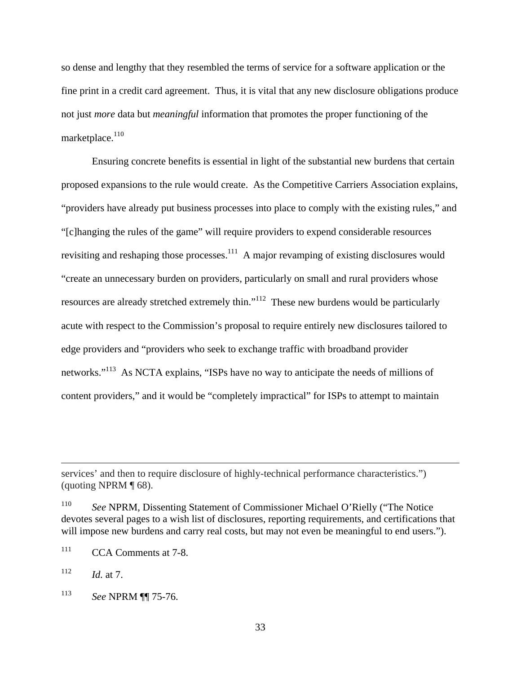so dense and lengthy that they resembled the terms of service for a software application or the fine print in a credit card agreement. Thus, it is vital that any new disclosure obligations produce not just *more* data but *meaningful* information that promotes the proper functioning of the marketplace.<sup>110</sup>

Ensuring concrete benefits is essential in light of the substantial new burdens that certain proposed expansions to the rule would create. As the Competitive Carriers Association explains, "providers have already put business processes into place to comply with the existing rules," and "[c]hanging the rules of the game" will require providers to expend considerable resources revisiting and reshaping those processes.<sup>111</sup> A major revamping of existing disclosures would "create an unnecessary burden on providers, particularly on small and rural providers whose resources are already stretched extremely thin."112 These new burdens would be particularly acute with respect to the Commission's proposal to require entirely new disclosures tailored to edge providers and "providers who seek to exchange traffic with broadband provider networks."<sup>113</sup> As NCTA explains, "ISPs have no way to anticipate the needs of millions of content providers," and it would be "completely impractical" for ISPs to attempt to maintain

 $\overline{a}$ 

services' and then to require disclosure of highly-technical performance characteristics.") (quoting NPRM ¶ 68).

<sup>110</sup> *See* NPRM, Dissenting Statement of Commissioner Michael O'Rielly ("The Notice devotes several pages to a wish list of disclosures, reporting requirements, and certifications that will impose new burdens and carry real costs, but may not even be meaningful to end users.").

<sup>&</sup>lt;sup>111</sup> CCA Comments at 7-8.

 $112$  *Id.* at 7.

<sup>113</sup> *See* NPRM ¶¶ 75-76.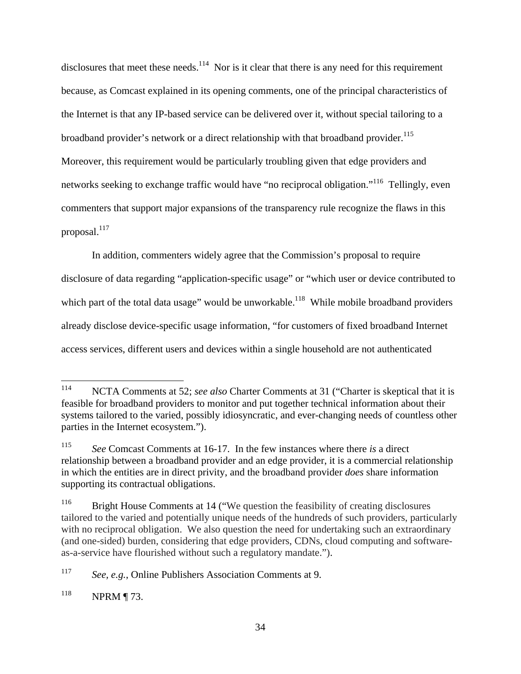disclosures that meet these needs.<sup>114</sup> Nor is it clear that there is any need for this requirement because, as Comcast explained in its opening comments, one of the principal characteristics of the Internet is that any IP-based service can be delivered over it, without special tailoring to a broadband provider's network or a direct relationship with that broadband provider.<sup>115</sup> Moreover, this requirement would be particularly troubling given that edge providers and networks seeking to exchange traffic would have "no reciprocal obligation."<sup>116</sup> Tellingly, even commenters that support major expansions of the transparency rule recognize the flaws in this proposal. $117$ 

In addition, commenters widely agree that the Commission's proposal to require disclosure of data regarding "application-specific usage" or "which user or device contributed to which part of the total data usage" would be unworkable.<sup>118</sup> While mobile broadband providers already disclose device-specific usage information, "for customers of fixed broadband Internet access services, different users and devices within a single household are not authenticated

<sup>114</sup> NCTA Comments at 52; *see also* Charter Comments at 31 ("Charter is skeptical that it is feasible for broadband providers to monitor and put together technical information about their systems tailored to the varied, possibly idiosyncratic, and ever-changing needs of countless other parties in the Internet ecosystem.").

<sup>115</sup> *See* Comcast Comments at 16-17. In the few instances where there *is* a direct relationship between a broadband provider and an edge provider, it is a commercial relationship in which the entities are in direct privity, and the broadband provider *does* share information supporting its contractual obligations.

<sup>&</sup>lt;sup>116</sup> Bright House Comments at 14 ("We question the feasibility of creating disclosures tailored to the varied and potentially unique needs of the hundreds of such providers, particularly with no reciprocal obligation. We also question the need for undertaking such an extraordinary (and one-sided) burden, considering that edge providers, CDNs, cloud computing and softwareas-a-service have flourished without such a regulatory mandate.").

<sup>117</sup> *See, e.g.*, Online Publishers Association Comments at 9.

<sup>118</sup> NPRM ¶ 73.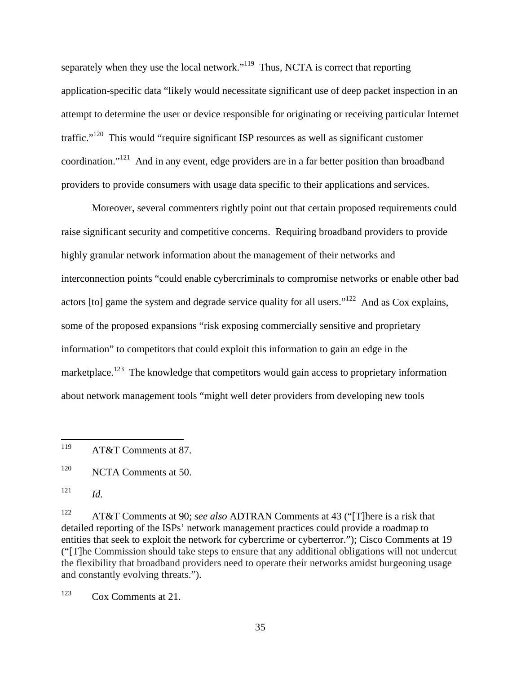separately when they use the local network."<sup>119</sup> Thus, NCTA is correct that reporting application-specific data "likely would necessitate significant use of deep packet inspection in an attempt to determine the user or device responsible for originating or receiving particular Internet traffic."120 This would "require significant ISP resources as well as significant customer coordination."121 And in any event, edge providers are in a far better position than broadband providers to provide consumers with usage data specific to their applications and services.

Moreover, several commenters rightly point out that certain proposed requirements could raise significant security and competitive concerns. Requiring broadband providers to provide highly granular network information about the management of their networks and interconnection points "could enable cybercriminals to compromise networks or enable other bad actors [to] game the system and degrade service quality for all users."122 And as Cox explains, some of the proposed expansions "risk exposing commercially sensitive and proprietary information" to competitors that could exploit this information to gain an edge in the marketplace.<sup>123</sup> The knowledge that competitors would gain access to proprietary information about network management tools "might well deter providers from developing new tools

122 AT&T Comments at 90; *see also* ADTRAN Comments at 43 ("[T]here is a risk that detailed reporting of the ISPs' network management practices could provide a roadmap to entities that seek to exploit the network for cybercrime or cyberterror."); Cisco Comments at 19 ("[T]he Commission should take steps to ensure that any additional obligations will not undercut the flexibility that broadband providers need to operate their networks amidst burgeoning usage and constantly evolving threats.").

<sup>119</sup> AT&T Comments at 87.

<sup>&</sup>lt;sup>120</sup> NCTA Comments at 50.

 $121$  *Id.* 

 $123$  Cox Comments at 21.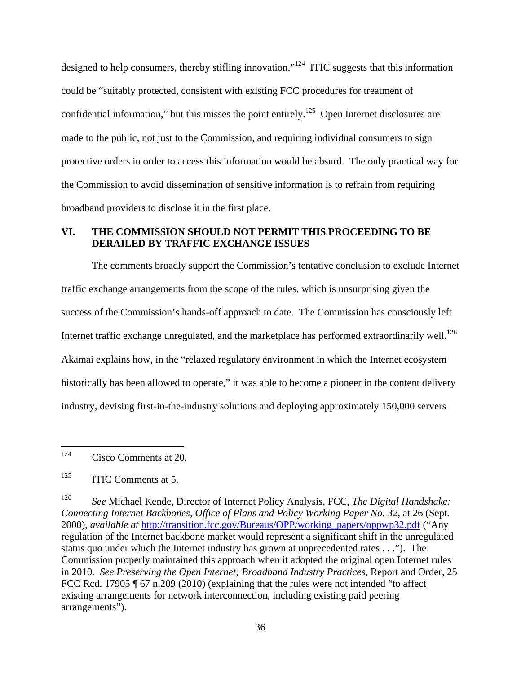designed to help consumers, thereby stifling innovation."<sup>124</sup> ITIC suggests that this information could be "suitably protected, consistent with existing FCC procedures for treatment of confidential information," but this misses the point entirely.<sup>125</sup> Open Internet disclosures are made to the public, not just to the Commission, and requiring individual consumers to sign protective orders in order to access this information would be absurd. The only practical way for the Commission to avoid dissemination of sensitive information is to refrain from requiring broadband providers to disclose it in the first place.

#### **VI. THE COMMISSION SHOULD NOT PERMIT THIS PROCEEDING TO BE DERAILED BY TRAFFIC EXCHANGE ISSUES**

The comments broadly support the Commission's tentative conclusion to exclude Internet traffic exchange arrangements from the scope of the rules, which is unsurprising given the success of the Commission's hands-off approach to date. The Commission has consciously left Internet traffic exchange unregulated, and the marketplace has performed extraordinarily well.<sup>126</sup> Akamai explains how, in the "relaxed regulatory environment in which the Internet ecosystem historically has been allowed to operate," it was able to become a pioneer in the content delivery industry, devising first-in-the-industry solutions and deploying approximately 150,000 servers

124 Cisco Comments at 20.

126 *See* Michael Kende, Director of Internet Policy Analysis, FCC, *The Digital Handshake: Connecting Internet Backbones, Office of Plans and Policy Working Paper No. 32*, at 26 (Sept. 2000), *available at* http://transition.fcc.gov/Bureaus/OPP/working\_papers/oppwp32.pdf ("Any regulation of the Internet backbone market would represent a significant shift in the unregulated status quo under which the Internet industry has grown at unprecedented rates . . ."). The Commission properly maintained this approach when it adopted the original open Internet rules in 2010. *See Preserving the Open Internet; Broadband Industry Practices*, Report and Order, 25 FCC Rcd. 17905 [ 67 n.209 (2010) (explaining that the rules were not intended "to affect existing arrangements for network interconnection, including existing paid peering arrangements").

 $125$  ITIC Comments at 5.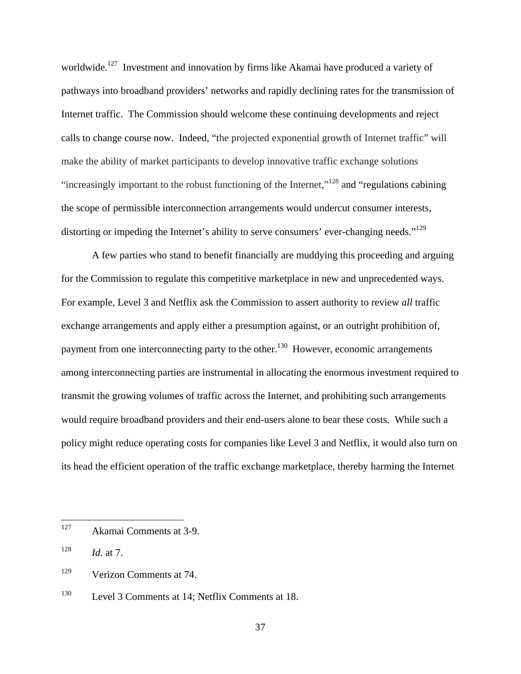worldwide.<sup>127</sup> Investment and innovation by firms like Akamai have produced a variety of pathways into broadband providers' networks and rapidly declining rates for the transmission of Internet traffic. The Commission should welcome these continuing developments and reject calls to change course now. Indeed, "the projected exponential growth of Internet traffic" will make the ability of market participants to develop innovative traffic exchange solutions "increasingly important to the robust functioning of the Internet,"128 and "regulations cabining the scope of permissible interconnection arrangements would undercut consumer interests, distorting or impeding the Internet's ability to serve consumers' ever-changing needs."<sup>129</sup>

A few parties who stand to benefit financially are muddying this proceeding and arguing for the Commission to regulate this competitive marketplace in new and unprecedented ways. For example, Level 3 and Netflix ask the Commission to assert authority to review *all* traffic exchange arrangements and apply either a presumption against, or an outright prohibition of, payment from one interconnecting party to the other.<sup>130</sup> However, economic arrangements among interconnecting parties are instrumental in allocating the enormous investment required to transmit the growing volumes of traffic across the Internet, and prohibiting such arrangements would require broadband providers and their end-users alone to bear these costs. While such a policy might reduce operating costs for companies like Level 3 and Netflix, it would also turn on its head the efficient operation of the traffic exchange marketplace, thereby harming the Internet

<sup>127</sup> Akamai Comments at 3-9.

 $128$  *Id.* at 7.

<sup>129</sup> Verizon Comments at 74.

<sup>130</sup> Level 3 Comments at 14; Netflix Comments at 18.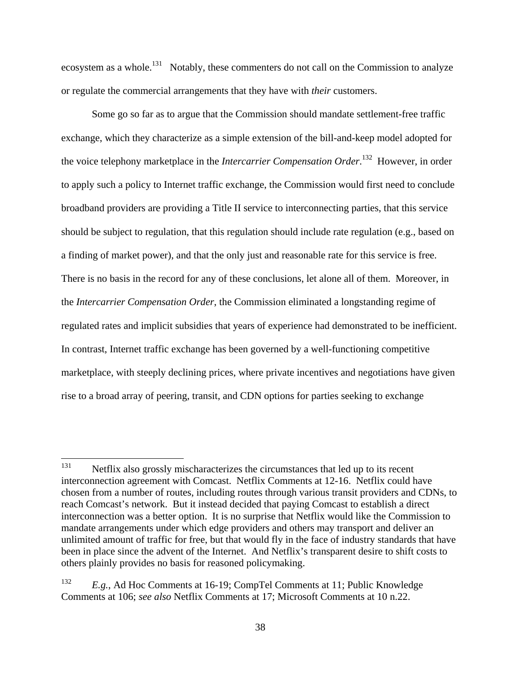ecosystem as a whole.<sup>131</sup> Notably, these commenters do not call on the Commission to analyze or regulate the commercial arrangements that they have with *their* customers.

Some go so far as to argue that the Commission should mandate settlement-free traffic exchange, which they characterize as a simple extension of the bill-and-keep model adopted for the voice telephony marketplace in the *Intercarrier Compensation Order*. 132 However, in order to apply such a policy to Internet traffic exchange, the Commission would first need to conclude broadband providers are providing a Title II service to interconnecting parties, that this service should be subject to regulation, that this regulation should include rate regulation (e.g., based on a finding of market power), and that the only just and reasonable rate for this service is free. There is no basis in the record for any of these conclusions, let alone all of them. Moreover, in the *Intercarrier Compensation Order*, the Commission eliminated a longstanding regime of regulated rates and implicit subsidies that years of experience had demonstrated to be inefficient. In contrast, Internet traffic exchange has been governed by a well-functioning competitive marketplace, with steeply declining prices, where private incentives and negotiations have given rise to a broad array of peering, transit, and CDN options for parties seeking to exchange

<sup>131</sup> Netflix also grossly mischaracterizes the circumstances that led up to its recent interconnection agreement with Comcast. Netflix Comments at 12-16. Netflix could have chosen from a number of routes, including routes through various transit providers and CDNs, to reach Comcast's network. But it instead decided that paying Comcast to establish a direct interconnection was a better option. It is no surprise that Netflix would like the Commission to mandate arrangements under which edge providers and others may transport and deliver an unlimited amount of traffic for free, but that would fly in the face of industry standards that have been in place since the advent of the Internet. And Netflix's transparent desire to shift costs to others plainly provides no basis for reasoned policymaking.

<sup>132</sup> *E.g.*, Ad Hoc Comments at 16-19; CompTel Comments at 11; Public Knowledge Comments at 106; *see also* Netflix Comments at 17; Microsoft Comments at 10 n.22.